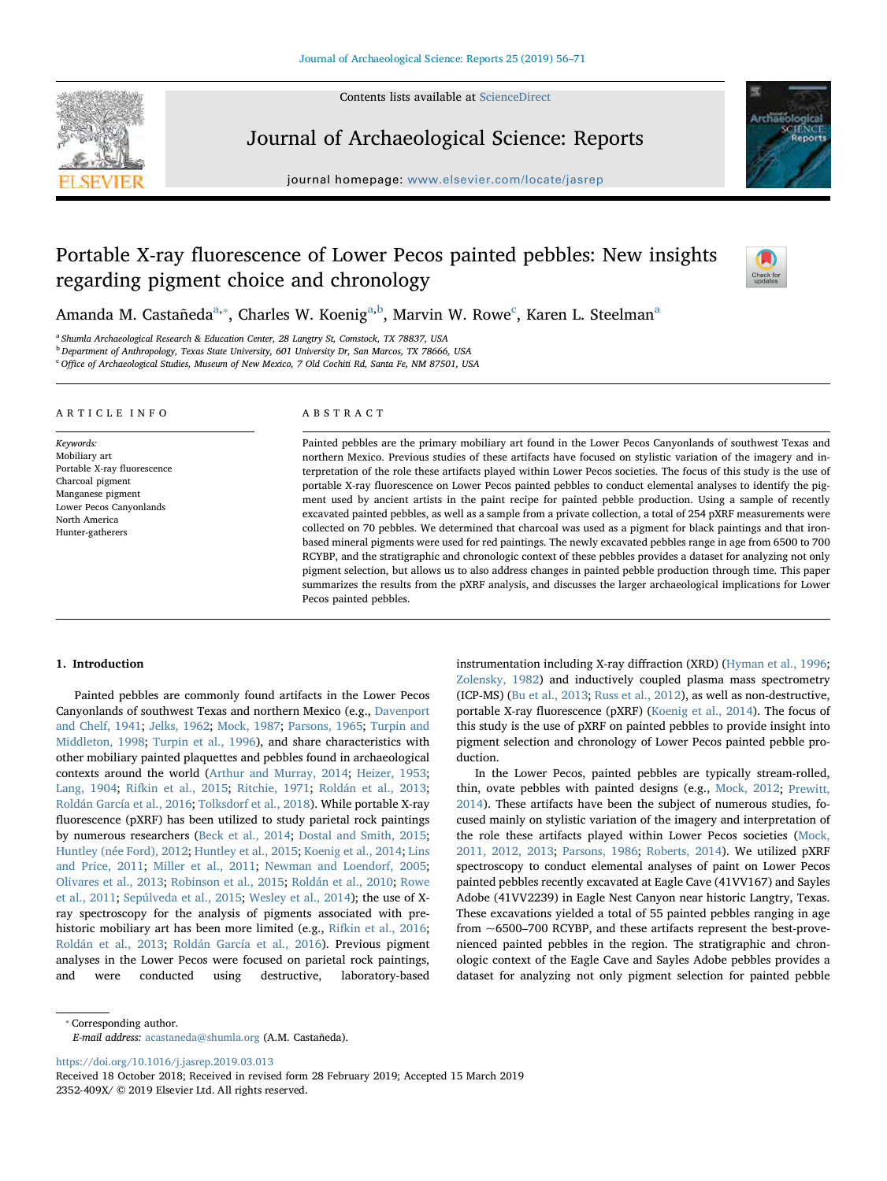Contents lists available at [ScienceDirect](http://www.sciencedirect.com/science/journal/2352409X)



Journal of Archaeological Science: Reports

journal homepage: [www.elsevier.com/locate/jasrep](https://www.elsevier.com/locate/jasrep)



# Portable X-ray fluorescence of Lower Pecos painted pebbles: New insights regarding pigment choice and chronology



Am[a](#page-0-0)nda M. Castañeda<sup>a,</sup>\*, Charles W. Koenig<sup>a[,b](#page-0-2)</sup>, Marvin W. Rowe<sup>[c](#page-0-3)</sup>, Karen L. Steelman<sup>a</sup>

<span id="page-0-0"></span><sup>a</sup> Shumla Archaeological Research & Education Center, 28 Langtry St, Comstock, TX 78837, USA

<span id="page-0-2"></span><sup>b</sup> Department of Anthropology, Texas State University, 601 University Dr, San Marcos, TX 78666, USA

<span id="page-0-3"></span><sup>c</sup> Office of Archaeological Studies, Museum of New Mexico, 7 Old Cochiti Rd, Santa Fe, NM 87501, USA

ARTICLE INFO

Keywords: Mobiliary art Portable X-ray fluorescence Charcoal pigment Manganese pigment Lower Pecos Canyonlands North America Hunter-gatherers

#### ABSTRACT

Painted pebbles are the primary mobiliary art found in the Lower Pecos Canyonlands of southwest Texas and northern Mexico. Previous studies of these artifacts have focused on stylistic variation of the imagery and interpretation of the role these artifacts played within Lower Pecos societies. The focus of this study is the use of portable X-ray fluorescence on Lower Pecos painted pebbles to conduct elemental analyses to identify the pigment used by ancient artists in the paint recipe for painted pebble production. Using a sample of recently excavated painted pebbles, as well as a sample from a private collection, a total of 254 pXRF measurements were collected on 70 pebbles. We determined that charcoal was used as a pigment for black paintings and that ironbased mineral pigments were used for red paintings. The newly excavated pebbles range in age from 6500 to 700 RCYBP, and the stratigraphic and chronologic context of these pebbles provides a dataset for analyzing not only pigment selection, but allows us to also address changes in painted pebble production through time. This paper summarizes the results from the pXRF analysis, and discusses the larger archaeological implications for Lower Pecos painted pebbles.

#### 1. Introduction

Painted pebbles are commonly found artifacts in the Lower Pecos Canyonlands of southwest Texas and northern Mexico (e.g., [Davenport](#page-14-0) [and Chelf, 1941](#page-14-0); [Jelks, 1962;](#page-14-1) [Mock, 1987;](#page-14-2) [Parsons, 1965;](#page-14-3) [Turpin and](#page-15-0) [Middleton, 1998](#page-15-0); [Turpin et al., 1996\)](#page-15-1), and share characteristics with other mobiliary painted plaquettes and pebbles found in archaeological contexts around the world ([Arthur and Murray, 2014;](#page-13-0) [Heizer, 1953](#page-14-4); [Lang, 1904;](#page-14-5) [Rifkin et al., 2015](#page-14-6); [Ritchie, 1971](#page-14-7); [Roldán et al., 2013](#page-14-8); [Roldán García et al., 2016](#page-14-9); [Tolksdorf et al., 2018](#page-15-2)). While portable X-ray fluorescence (pXRF) has been utilized to study parietal rock paintings by numerous researchers ([Beck et al., 2014](#page-13-1); [Dostal and Smith, 2015](#page-14-10); [Huntley \(née Ford\), 2012](#page-14-11); [Huntley et al., 2015](#page-14-12); [Koenig et al., 2014](#page-14-13); [Lins](#page-14-14) [and Price, 2011;](#page-14-14) [Miller et al., 2011;](#page-14-15) [Newman and Loendorf, 2005](#page-14-16); [Olivares et al., 2013;](#page-14-17) [Robinson et al., 2015](#page-14-18); [Roldán et al., 2010](#page-14-19); [Rowe](#page-14-20) [et al., 2011](#page-14-20); [Sepúlveda et al., 2015](#page-14-21); [Wesley et al., 2014\)](#page-15-3); the use of Xray spectroscopy for the analysis of pigments associated with prehistoric mobiliary art has been more limited (e.g., [Rifkin et al., 2016](#page-14-22); [Roldán et al., 2013](#page-14-8); [Roldán García et al., 2016](#page-14-9)). Previous pigment analyses in the Lower Pecos were focused on parietal rock paintings, and were conducted using destructive, laboratory-based

instrumentation including X-ray diffraction (XRD) ([Hyman et al., 1996](#page-14-23); [Zolensky, 1982](#page-15-4)) and inductively coupled plasma mass spectrometry (ICP-MS) ([Bu et al., 2013;](#page-13-2) [Russ et al., 2012](#page-14-24)), as well as non-destructive, portable X-ray fluorescence (pXRF) ([Koenig et al., 2014\)](#page-14-13). The focus of this study is the use of pXRF on painted pebbles to provide insight into pigment selection and chronology of Lower Pecos painted pebble production.

In the Lower Pecos, painted pebbles are typically stream-rolled, thin, ovate pebbles with painted designs (e.g., [Mock, 2012;](#page-14-25) [Prewitt,](#page-14-26) [2014\)](#page-14-26). These artifacts have been the subject of numerous studies, focused mainly on stylistic variation of the imagery and interpretation of the role these artifacts played within Lower Pecos societies [\(Mock,](#page-14-27) [2011, 2012, 2013](#page-14-27); [Parsons, 1986;](#page-14-28) [Roberts, 2014\)](#page-14-29). We utilized pXRF spectroscopy to conduct elemental analyses of paint on Lower Pecos painted pebbles recently excavated at Eagle Cave (41VV167) and Sayles Adobe (41VV2239) in Eagle Nest Canyon near historic Langtry, Texas. These excavations yielded a total of 55 painted pebbles ranging in age from ~6500–700 RCYBP, and these artifacts represent the best-provenienced painted pebbles in the region. The stratigraphic and chronologic context of the Eagle Cave and Sayles Adobe pebbles provides a dataset for analyzing not only pigment selection for painted pebble

<span id="page-0-1"></span>⁎ Corresponding author. E-mail address: [acastaneda@shumla.org](mailto:acastaneda@shumla.org) (A.M. Castañeda).

<https://doi.org/10.1016/j.jasrep.2019.03.013>

Received 18 October 2018; Received in revised form 28 February 2019; Accepted 15 March 2019 2352-409X/ © 2019 Elsevier Ltd. All rights reserved.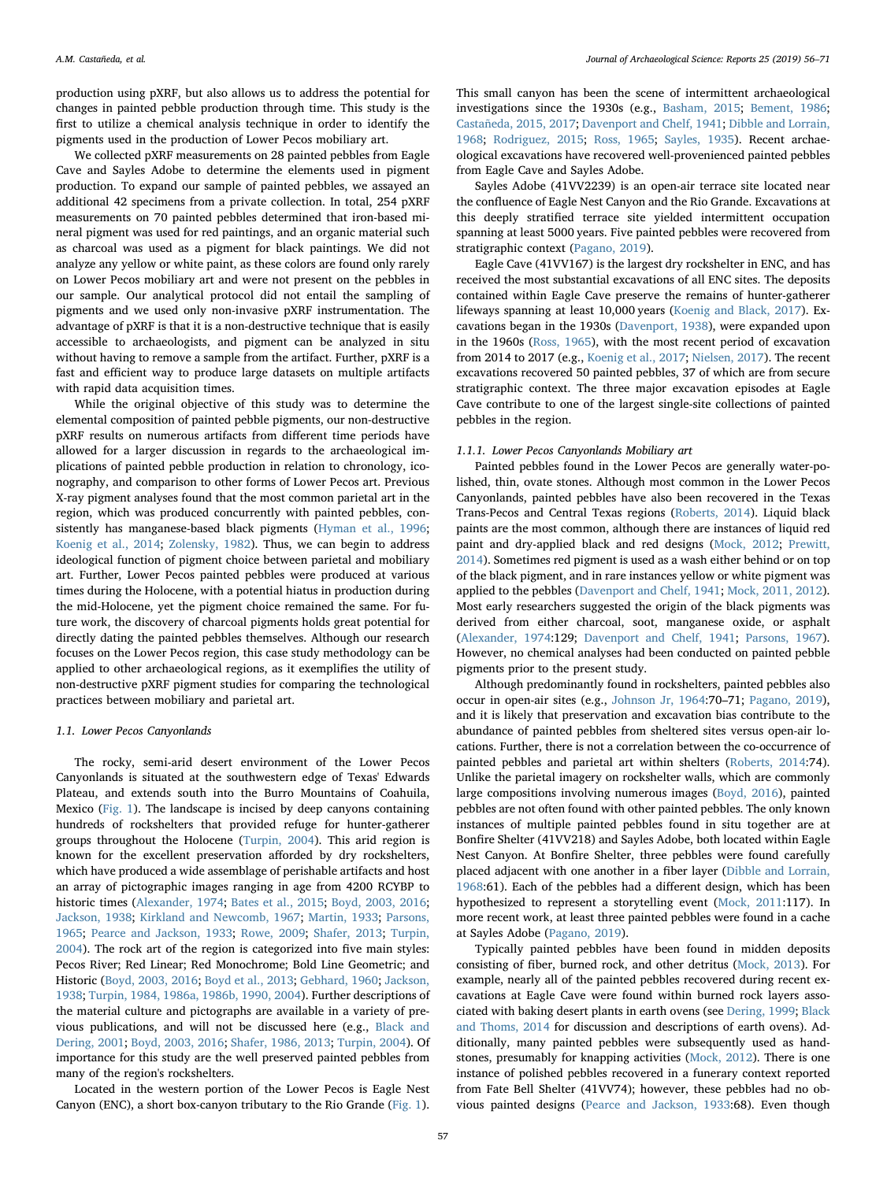production using pXRF, but also allows us to address the potential for changes in painted pebble production through time. This study is the first to utilize a chemical analysis technique in order to identify the pigments used in the production of Lower Pecos mobiliary art.

We collected pXRF measurements on 28 painted pebbles from Eagle Cave and Sayles Adobe to determine the elements used in pigment production. To expand our sample of painted pebbles, we assayed an additional 42 specimens from a private collection. In total, 254 pXRF measurements on 70 painted pebbles determined that iron-based mineral pigment was used for red paintings, and an organic material such as charcoal was used as a pigment for black paintings. We did not analyze any yellow or white paint, as these colors are found only rarely on Lower Pecos mobiliary art and were not present on the pebbles in our sample. Our analytical protocol did not entail the sampling of pigments and we used only non-invasive pXRF instrumentation. The advantage of pXRF is that it is a non-destructive technique that is easily accessible to archaeologists, and pigment can be analyzed in situ without having to remove a sample from the artifact. Further, pXRF is a fast and efficient way to produce large datasets on multiple artifacts with rapid data acquisition times.

While the original objective of this study was to determine the elemental composition of painted pebble pigments, our non-destructive pXRF results on numerous artifacts from different time periods have allowed for a larger discussion in regards to the archaeological implications of painted pebble production in relation to chronology, iconography, and comparison to other forms of Lower Pecos art. Previous X-ray pigment analyses found that the most common parietal art in the region, which was produced concurrently with painted pebbles, consistently has manganese-based black pigments ([Hyman et al., 1996](#page-14-23); [Koenig et al., 2014;](#page-14-13) [Zolensky, 1982](#page-15-4)). Thus, we can begin to address ideological function of pigment choice between parietal and mobiliary art. Further, Lower Pecos painted pebbles were produced at various times during the Holocene, with a potential hiatus in production during the mid-Holocene, yet the pigment choice remained the same. For future work, the discovery of charcoal pigments holds great potential for directly dating the painted pebbles themselves. Although our research focuses on the Lower Pecos region, this case study methodology can be applied to other archaeological regions, as it exemplifies the utility of non-destructive pXRF pigment studies for comparing the technological practices between mobiliary and parietal art.

#### 1.1. Lower Pecos Canyonlands

The rocky, semi-arid desert environment of the Lower Pecos Canyonlands is situated at the southwestern edge of Texas' Edwards Plateau, and extends south into the Burro Mountains of Coahuila, Mexico [\(Fig. 1\)](#page-2-0). The landscape is incised by deep canyons containing hundreds of rockshelters that provided refuge for hunter-gatherer groups throughout the Holocene [\(Turpin, 2004](#page-15-5)). This arid region is known for the excellent preservation afforded by dry rockshelters, which have produced a wide assemblage of perishable artifacts and host an array of pictographic images ranging in age from 4200 RCYBP to historic times ([Alexander, 1974](#page-13-3); [Bates et al., 2015;](#page-13-4) [Boyd, 2003, 2016](#page-13-5); [Jackson, 1938;](#page-14-30) [Kirkland and Newcomb, 1967;](#page-14-31) [Martin, 1933](#page-14-32); [Parsons,](#page-14-3) [1965;](#page-14-3) [Pearce and Jackson, 1933](#page-14-33); [Rowe, 2009](#page-14-34); [Shafer, 2013;](#page-15-6) [Turpin,](#page-15-5) [2004\)](#page-15-5). The rock art of the region is categorized into five main styles: Pecos River; Red Linear; Red Monochrome; Bold Line Geometric; and Historic ([Boyd, 2003, 2016](#page-13-5); [Boyd et al., 2013](#page-13-6); [Gebhard, 1960](#page-14-35); [Jackson,](#page-14-30) [1938;](#page-14-30) Turpin, 1984, 1986a, [1986b, 1990, 2004](#page-15-7)). Further descriptions of the material culture and pictographs are available in a variety of previous publications, and will not be discussed here (e.g., [Black and](#page-13-7) [Dering, 2001;](#page-13-7) [Boyd, 2003, 2016;](#page-13-5) [Shafer, 1986, 2013](#page-15-8); [Turpin, 2004\)](#page-15-5). Of importance for this study are the well preserved painted pebbles from many of the region's rockshelters.

Located in the western portion of the Lower Pecos is Eagle Nest Canyon (ENC), a short box-canyon tributary to the Rio Grande ([Fig. 1](#page-2-0)).

This small canyon has been the scene of intermittent archaeological investigations since the 1930s (e.g., [Basham, 2015](#page-13-8); [Bement, 1986](#page-13-9); [Castañeda, 2015, 2017;](#page-13-10) [Davenport and Chelf, 1941](#page-14-0); [Dibble and Lorrain,](#page-14-36) [1968;](#page-14-36) [Rodriguez, 2015](#page-14-37); [Ross, 1965;](#page-14-38) [Sayles, 1935](#page-14-39)). Recent archaeological excavations have recovered well-provenienced painted pebbles from Eagle Cave and Sayles Adobe.

Sayles Adobe (41VV2239) is an open-air terrace site located near the confluence of Eagle Nest Canyon and the Rio Grande. Excavations at this deeply stratified terrace site yielded intermittent occupation spanning at least 5000 years. Five painted pebbles were recovered from stratigraphic context ([Pagano, 2019](#page-14-40)).

Eagle Cave (41VV167) is the largest dry rockshelter in ENC, and has received the most substantial excavations of all ENC sites. The deposits contained within Eagle Cave preserve the remains of hunter-gatherer lifeways spanning at least 10,000 years ([Koenig and Black, 2017](#page-14-41)). Excavations began in the 1930s [\(Davenport, 1938\)](#page-13-11), were expanded upon in the 1960s [\(Ross, 1965](#page-14-38)), with the most recent period of excavation from 2014 to 2017 (e.g., [Koenig et al., 2017;](#page-14-42) [Nielsen, 2017](#page-14-43)). The recent excavations recovered 50 painted pebbles, 37 of which are from secure stratigraphic context. The three major excavation episodes at Eagle Cave contribute to one of the largest single-site collections of painted pebbles in the region.

## 1.1.1. Lower Pecos Canyonlands Mobiliary art

Painted pebbles found in the Lower Pecos are generally water-polished, thin, ovate stones. Although most common in the Lower Pecos Canyonlands, painted pebbles have also been recovered in the Texas Trans-Pecos and Central Texas regions ([Roberts, 2014](#page-14-29)). Liquid black paints are the most common, although there are instances of liquid red paint and dry-applied black and red designs ([Mock, 2012](#page-14-25); [Prewitt,](#page-14-26) [2014\)](#page-14-26). Sometimes red pigment is used as a wash either behind or on top of the black pigment, and in rare instances yellow or white pigment was applied to the pebbles [\(Davenport and Chelf, 1941](#page-14-0); [Mock, 2011, 2012](#page-14-27)). Most early researchers suggested the origin of the black pigments was derived from either charcoal, soot, manganese oxide, or asphalt ([Alexander, 1974:](#page-13-3)129; [Davenport and Chelf, 1941](#page-14-0); [Parsons, 1967](#page-14-44)). However, no chemical analyses had been conducted on painted pebble pigments prior to the present study.

Although predominantly found in rockshelters, painted pebbles also occur in open-air sites (e.g., [Johnson Jr, 1964:](#page-14-45)70–71; [Pagano, 2019](#page-14-40)), and it is likely that preservation and excavation bias contribute to the abundance of painted pebbles from sheltered sites versus open-air locations. Further, there is not a correlation between the co-occurrence of painted pebbles and parietal art within shelters [\(Roberts, 2014](#page-14-29):74). Unlike the parietal imagery on rockshelter walls, which are commonly large compositions involving numerous images ([Boyd, 2016\)](#page-13-12), painted pebbles are not often found with other painted pebbles. The only known instances of multiple painted pebbles found in situ together are at Bonfire Shelter (41VV218) and Sayles Adobe, both located within Eagle Nest Canyon. At Bonfire Shelter, three pebbles were found carefully placed adjacent with one another in a fiber layer ([Dibble and Lorrain,](#page-14-36) [1968:](#page-14-36)61). Each of the pebbles had a different design, which has been hypothesized to represent a storytelling event [\(Mock, 2011:](#page-14-27)117). In more recent work, at least three painted pebbles were found in a cache at Sayles Adobe ([Pagano, 2019](#page-14-40)).

Typically painted pebbles have been found in midden deposits consisting of fiber, burned rock, and other detritus [\(Mock, 2013\)](#page-14-46). For example, nearly all of the painted pebbles recovered during recent excavations at Eagle Cave were found within burned rock layers associated with baking desert plants in earth ovens (see [Dering, 1999](#page-14-47); [Black](#page-13-13) [and Thoms, 2014](#page-13-13) for discussion and descriptions of earth ovens). Additionally, many painted pebbles were subsequently used as handstones, presumably for knapping activities [\(Mock, 2012](#page-14-25)). There is one instance of polished pebbles recovered in a funerary context reported from Fate Bell Shelter (41VV74); however, these pebbles had no obvious painted designs [\(Pearce and Jackson, 1933:](#page-14-33)68). Even though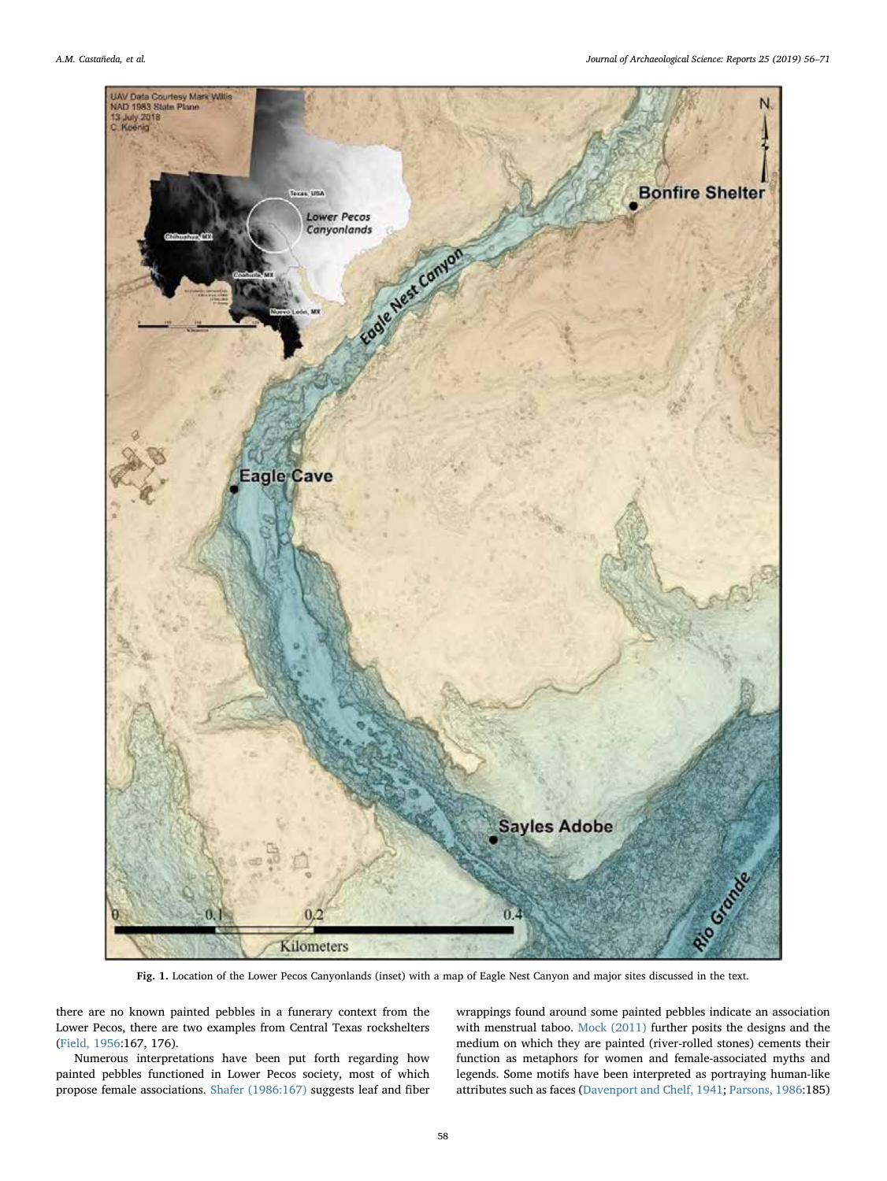<span id="page-2-0"></span>

Fig. 1. Location of the Lower Pecos Canyonlands (inset) with a map of Eagle Nest Canyon and major sites discussed in the text.

there are no known painted pebbles in a funerary context from the Lower Pecos, there are two examples from Central Texas rockshelters ([Field, 1956:](#page-14-48)167, 176).

Numerous interpretations have been put forth regarding how painted pebbles functioned in Lower Pecos society, most of which propose female associations. [Shafer \(1986:167\)](#page-15-8) suggests leaf and fiber wrappings found around some painted pebbles indicate an association with menstrual taboo. [Mock \(2011\)](#page-14-27) further posits the designs and the medium on which they are painted (river-rolled stones) cements their function as metaphors for women and female-associated myths and legends. Some motifs have been interpreted as portraying human-like attributes such as faces ([Davenport and Chelf, 1941;](#page-14-0) [Parsons, 1986:](#page-14-28)185)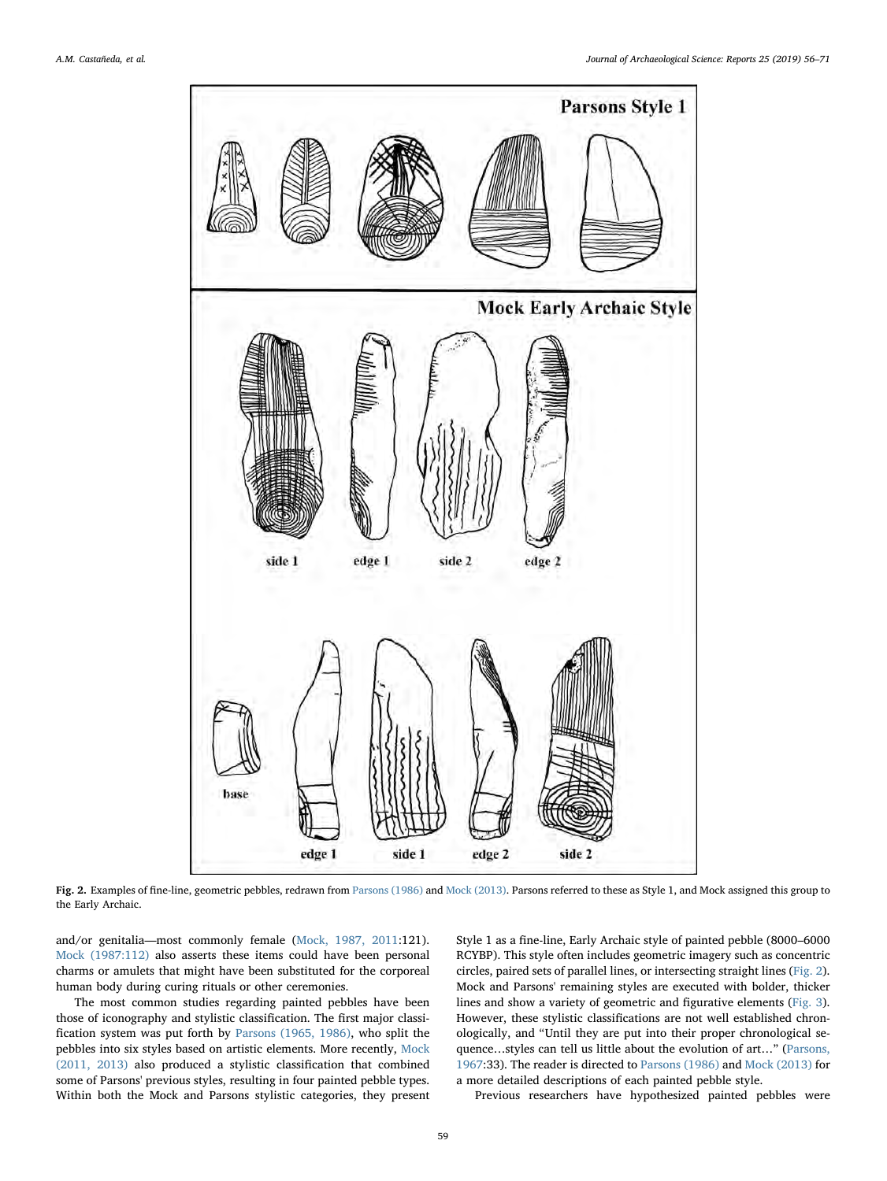<span id="page-3-0"></span>

Fig. 2. Examples of fine-line, geometric pebbles, redrawn from [Parsons \(1986\)](#page-14-28) and [Mock \(2013\)](#page-14-46). Parsons referred to these as Style 1, and Mock assigned this group to the Early Archaic.

and/or genitalia—most commonly female [\(Mock, 1987, 2011:](#page-14-2)121). [Mock \(1987:112\)](#page-14-2) also asserts these items could have been personal charms or amulets that might have been substituted for the corporeal human body during curing rituals or other ceremonies.

The most common studies regarding painted pebbles have been those of iconography and stylistic classification. The first major classification system was put forth by [Parsons \(1965, 1986\),](#page-14-3) who split the pebbles into six styles based on artistic elements. More recently, [Mock](#page-14-27) [\(2011, 2013\)](#page-14-27) also produced a stylistic classification that combined some of Parsons' previous styles, resulting in four painted pebble types. Within both the Mock and Parsons stylistic categories, they present Style 1 as a fine-line, Early Archaic style of painted pebble (8000–6000 RCYBP). This style often includes geometric imagery such as concentric circles, paired sets of parallel lines, or intersecting straight lines ([Fig. 2](#page-3-0)). Mock and Parsons' remaining styles are executed with bolder, thicker lines and show a variety of geometric and figurative elements [\(Fig. 3](#page-4-0)). However, these stylistic classifications are not well established chronologically, and "Until they are put into their proper chronological sequence…styles can tell us little about the evolution of art…" [\(Parsons,](#page-14-44) [1967:](#page-14-44)33). The reader is directed to [Parsons \(1986\)](#page-14-28) and [Mock \(2013\)](#page-14-46) for a more detailed descriptions of each painted pebble style.

Previous researchers have hypothesized painted pebbles were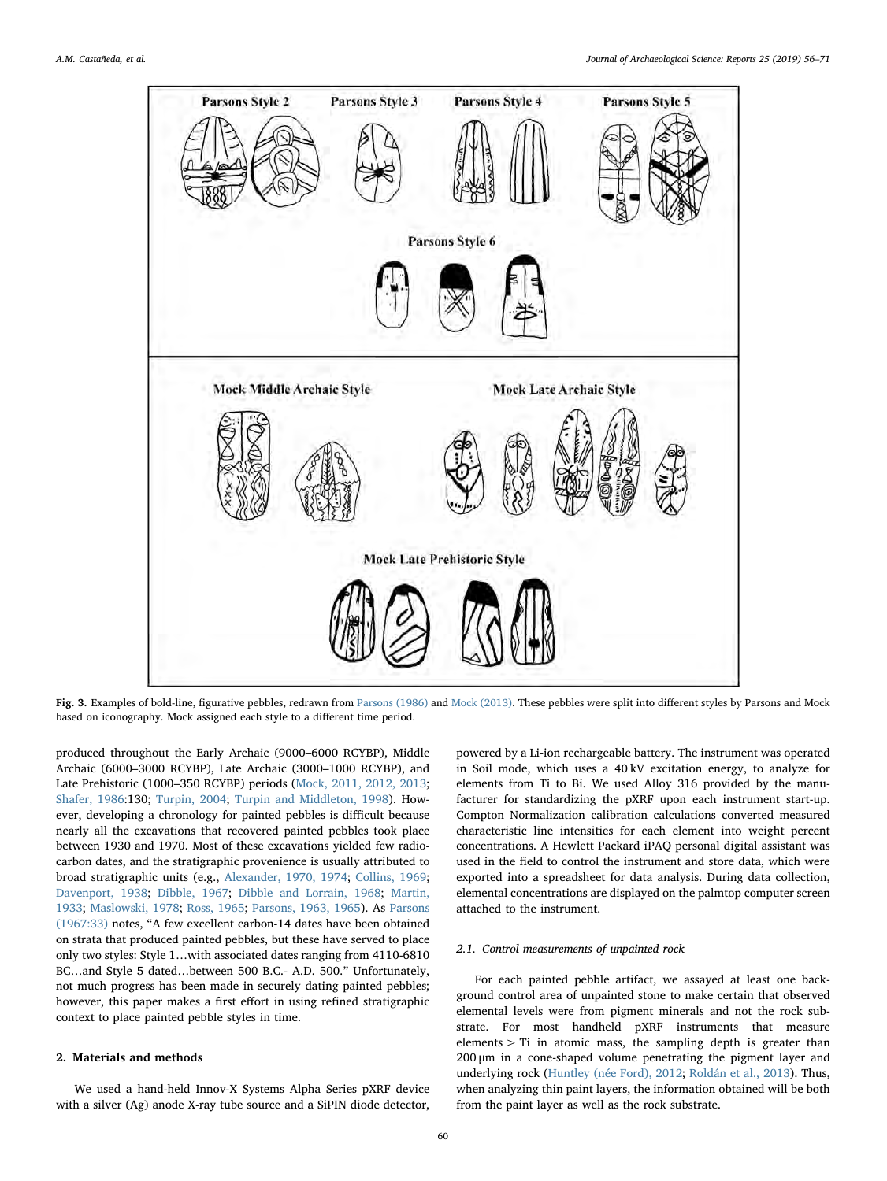<span id="page-4-0"></span>

Fig. 3. Examples of bold-line, figurative pebbles, redrawn from [Parsons \(1986\)](#page-14-28) and [Mock \(2013\)](#page-14-46). These pebbles were split into different styles by Parsons and Mock based on iconography. Mock assigned each style to a different time period.

produced throughout the Early Archaic (9000–6000 RCYBP), Middle Archaic (6000–3000 RCYBP), Late Archaic (3000–1000 RCYBP), and Late Prehistoric (1000–350 RCYBP) periods ([Mock, 2011, 2012, 2013](#page-14-27); [Shafer, 1986:](#page-15-8)130; [Turpin, 2004](#page-15-5); [Turpin and Middleton, 1998](#page-15-0)). However, developing a chronology for painted pebbles is difficult because nearly all the excavations that recovered painted pebbles took place between 1930 and 1970. Most of these excavations yielded few radiocarbon dates, and the stratigraphic provenience is usually attributed to broad stratigraphic units (e.g., [Alexander, 1970, 1974](#page-13-14); [Collins, 1969](#page-13-15); [Davenport, 1938](#page-13-11); [Dibble, 1967;](#page-14-49) [Dibble and Lorrain, 1968;](#page-14-36) [Martin,](#page-14-32) [1933;](#page-14-32) [Maslowski, 1978;](#page-14-50) [Ross, 1965](#page-14-38); [Parsons, 1963, 1965](#page-14-51)). As [Parsons](#page-14-44) [\(1967:33\)](#page-14-44) notes, "A few excellent carbon-14 dates have been obtained on strata that produced painted pebbles, but these have served to place only two styles: Style 1…with associated dates ranging from 4110-6810 BC…and Style 5 dated…between 500 B.C.- A.D. 500." Unfortunately, not much progress has been made in securely dating painted pebbles; however, this paper makes a first effort in using refined stratigraphic context to place painted pebble styles in time.

## 2. Materials and methods

We used a hand-held Innov-X Systems Alpha Series pXRF device with a silver (Ag) anode X-ray tube source and a SiPIN diode detector,

powered by a Li-ion rechargeable battery. The instrument was operated in Soil mode, which uses a 40 kV excitation energy, to analyze for elements from Ti to Bi. We used Alloy 316 provided by the manufacturer for standardizing the pXRF upon each instrument start-up. Compton Normalization calibration calculations converted measured characteristic line intensities for each element into weight percent concentrations. A Hewlett Packard iPAQ personal digital assistant was used in the field to control the instrument and store data, which were exported into a spreadsheet for data analysis. During data collection, elemental concentrations are displayed on the palmtop computer screen attached to the instrument.

## 2.1. Control measurements of unpainted rock

For each painted pebble artifact, we assayed at least one background control area of unpainted stone to make certain that observed elemental levels were from pigment minerals and not the rock substrate. For most handheld pXRF instruments that measure elements > Ti in atomic mass, the sampling depth is greater than 200 μm in a cone-shaped volume penetrating the pigment layer and underlying rock [\(Huntley \(née Ford\), 2012](#page-14-11); [Roldán et al., 2013\)](#page-14-8). Thus, when analyzing thin paint layers, the information obtained will be both from the paint layer as well as the rock substrate.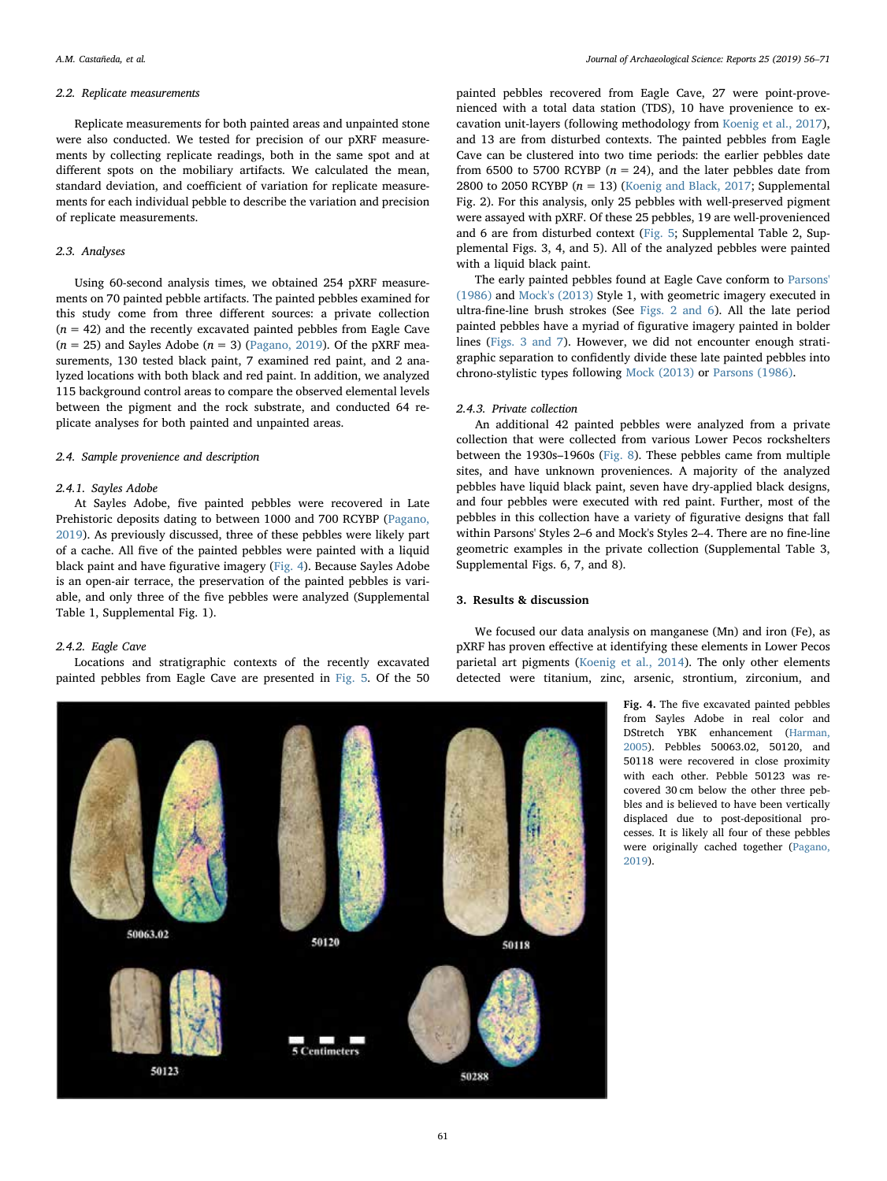#### 2.2. Replicate measurements

Replicate measurements for both painted areas and unpainted stone were also conducted. We tested for precision of our pXRF measurements by collecting replicate readings, both in the same spot and at different spots on the mobiliary artifacts. We calculated the mean, standard deviation, and coefficient of variation for replicate measurements for each individual pebble to describe the variation and precision of replicate measurements.

## 2.3. Analyses

Using 60-second analysis times, we obtained 254 pXRF measurements on 70 painted pebble artifacts. The painted pebbles examined for this study come from three different sources: a private collection  $(n = 42)$  and the recently excavated painted pebbles from Eagle Cave  $(n = 25)$  and Sayles Adobe  $(n = 3)$  ([Pagano, 2019\)](#page-14-40). Of the pXRF measurements, 130 tested black paint, 7 examined red paint, and 2 analyzed locations with both black and red paint. In addition, we analyzed 115 background control areas to compare the observed elemental levels between the pigment and the rock substrate, and conducted 64 replicate analyses for both painted and unpainted areas.

#### 2.4. Sample provenience and description

#### 2.4.1. Sayles Adobe

At Sayles Adobe, five painted pebbles were recovered in Late Prehistoric deposits dating to between 1000 and 700 RCYBP ([Pagano,](#page-14-40) [2019\)](#page-14-40). As previously discussed, three of these pebbles were likely part of a cache. All five of the painted pebbles were painted with a liquid black paint and have figurative imagery [\(Fig. 4\)](#page-5-0). Because Sayles Adobe is an open-air terrace, the preservation of the painted pebbles is variable, and only three of the five pebbles were analyzed (Supplemental Table 1, Supplemental Fig. 1).

## 2.4.2. Eagle Cave

Locations and stratigraphic contexts of the recently excavated painted pebbles from Eagle Cave are presented in [Fig. 5.](#page-6-0) Of the 50

painted pebbles recovered from Eagle Cave, 27 were point-provenienced with a total data station (TDS), 10 have provenience to excavation unit-layers (following methodology from [Koenig et al., 2017](#page-14-42)), and 13 are from disturbed contexts. The painted pebbles from Eagle Cave can be clustered into two time periods: the earlier pebbles date from 6500 to 5700 RCYBP ( $n = 24$ ), and the later pebbles date from 2800 to 2050 RCYBP ( $n = 13$ ) [\(Koenig and Black, 2017;](#page-14-41) Supplemental Fig. 2). For this analysis, only 25 pebbles with well-preserved pigment were assayed with pXRF. Of these 25 pebbles, 19 are well-provenienced and 6 are from disturbed context ([Fig. 5](#page-6-0); Supplemental Table 2, Supplemental Figs. 3, 4, and 5). All of the analyzed pebbles were painted with a liquid black paint.

The early painted pebbles found at Eagle Cave conform to [Parsons'](#page-14-28) [\(1986\)](#page-14-28) and [Mock's \(2013\)](#page-14-46) Style 1, with geometric imagery executed in ultra-fine-line brush strokes (See [Figs. 2 and 6\)](#page-3-0). All the late period painted pebbles have a myriad of figurative imagery painted in bolder lines ([Figs. 3 and 7\)](#page-4-0). However, we did not encounter enough stratigraphic separation to confidently divide these late painted pebbles into chrono-stylistic types following Mock [\(2013\)](#page-14-46) or [Parsons \(1986\).](#page-14-28)

## 2.4.3. Private collection

An additional 42 painted pebbles were analyzed from a private collection that were collected from various Lower Pecos rockshelters between the 1930s–1960s [\(Fig. 8\)](#page-7-0). These pebbles came from multiple sites, and have unknown proveniences. A majority of the analyzed pebbles have liquid black paint, seven have dry-applied black designs, and four pebbles were executed with red paint. Further, most of the pebbles in this collection have a variety of figurative designs that fall within Parsons' Styles 2–6 and Mock's Styles 2–4. There are no fine-line geometric examples in the private collection (Supplemental Table 3, Supplemental Figs. 6, 7, and 8).

#### 3. Results & discussion

We focused our data analysis on manganese (Mn) and iron (Fe), as pXRF has proven effective at identifying these elements in Lower Pecos parietal art pigments [\(Koenig et al., 2014\)](#page-14-13). The only other elements

> detected were titanium, zinc, arsenic, strontium, zirconium, and Fig. 4. The five excavated painted pebbles from Sayles Adobe in real color and DStretch YBK enhancement [\(Harman,](#page-14-52) [2005](#page-14-52)). Pebbles 50063.02, 50120, and 50118 were recovered in close proximity with each other. Pebble 50123 was recovered 30 cm below the other three pebbles and is believed to have been vertically displaced due to post-depositional pro-

cesses. It is likely all four of these pebbles were originally cached together [\(Pagano,](#page-14-40) [2019](#page-14-40)).

<span id="page-5-0"></span>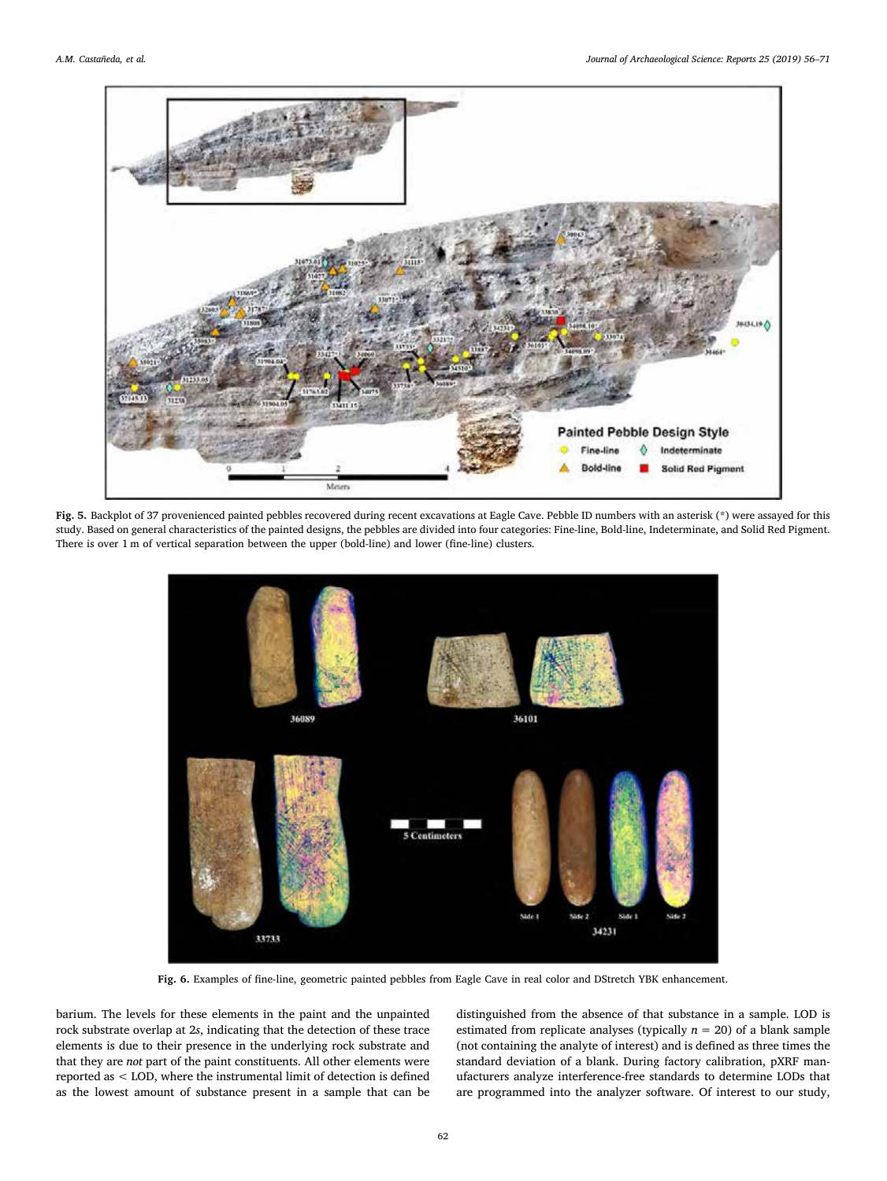<span id="page-6-0"></span>

Fig. 5. Backplot of 37 provenienced painted pebbles recovered during recent excavations at Eagle Cave. Pebble ID numbers with an asterisk (\*) were assayed for this study. Based on general characteristics of the painted designs, the pebbles are divided into four categories: Fine-line, Bold-line, Indeterminate, and Solid Red Pigment. There is over 1 m of vertical separation between the upper (bold-line) and lower (fine-line) clusters.



Fig. 6. Examples of fine-line, geometric painted pebbles from Eagle Cave in real color and DStretch YBK enhancement.

barium. The levels for these elements in the paint and the unpainted rock substrate overlap at 2s, indicating that the detection of these trace elements is due to their presence in the underlying rock substrate and that they are not part of the paint constituents. All other elements were reported as < LOD, where the instrumental limit of detection is defined as the lowest amount of substance present in a sample that can be distinguished from the absence of that substance in a sample. LOD is estimated from replicate analyses (typically  $n = 20$ ) of a blank sample (not containing the analyte of interest) and is defined as three times the standard deviation of a blank. During factory calibration, pXRF manufacturers analyze interference-free standards to determine LODs that are programmed into the analyzer software. Of interest to our study,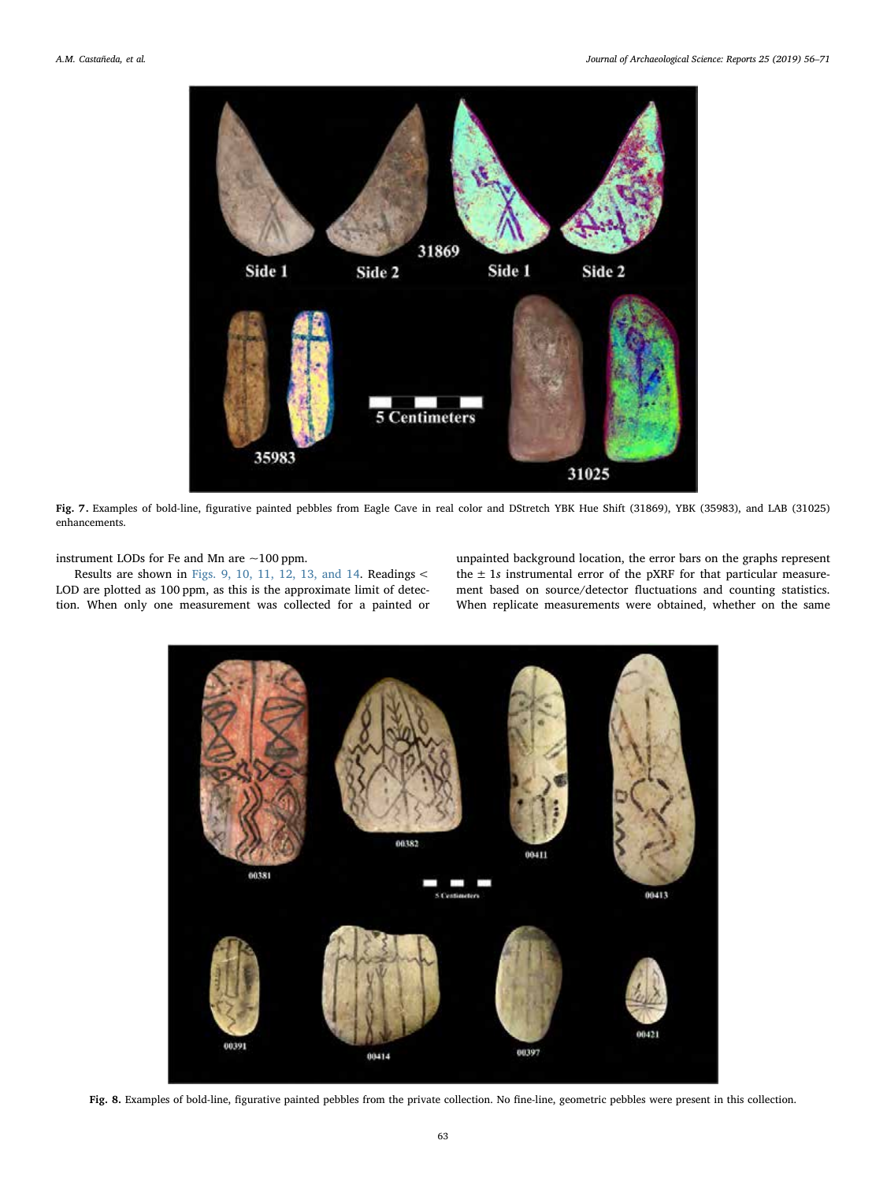

Fig. 7. Examples of bold-line, figurative painted pebbles from Eagle Cave in real color and DStretch YBK Hue Shift (31869), YBK (35983), and LAB (31025) enhancements.

instrument LODs for Fe and Mn are ~100 ppm.

<span id="page-7-0"></span>Results are shown in [Figs. 9, 10, 11, 12, 13, and 14.](#page-8-0) Readings < LOD are plotted as 100 ppm, as this is the approximate limit of detection. When only one measurement was collected for a painted or unpainted background location, the error bars on the graphs represent the  $\pm$  1s instrumental error of the pXRF for that particular measurement based on source/detector fluctuations and counting statistics. When replicate measurements were obtained, whether on the same



Fig. 8. Examples of bold-line, figurative painted pebbles from the private collection. No fine-line, geometric pebbles were present in this collection.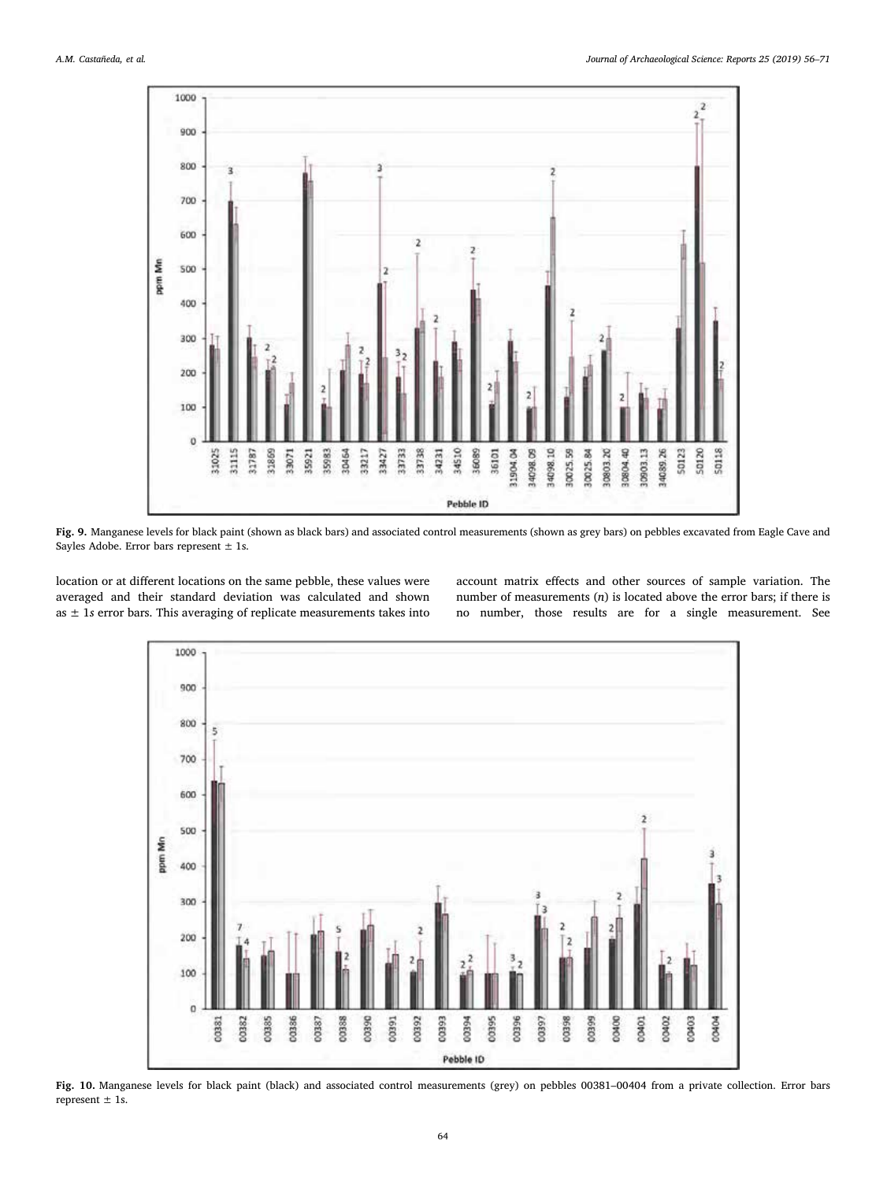<span id="page-8-0"></span>

Fig. 9. Manganese levels for black paint (shown as black bars) and associated control measurements (shown as grey bars) on pebbles excavated from Eagle Cave and Sayles Adobe. Error bars represent  $\pm$  1s.

location or at different locations on the same pebble, these values were averaged and their standard deviation was calculated and shown as  $\pm$  1s error bars. This averaging of replicate measurements takes into account matrix effects and other sources of sample variation. The number of measurements  $(n)$  is located above the error bars; if there is no number, those results are for a single measurement. See



Fig. 10. Manganese levels for black paint (black) and associated control measurements (grey) on pebbles 00381–00404 from a private collection. Error bars represent ± 1s.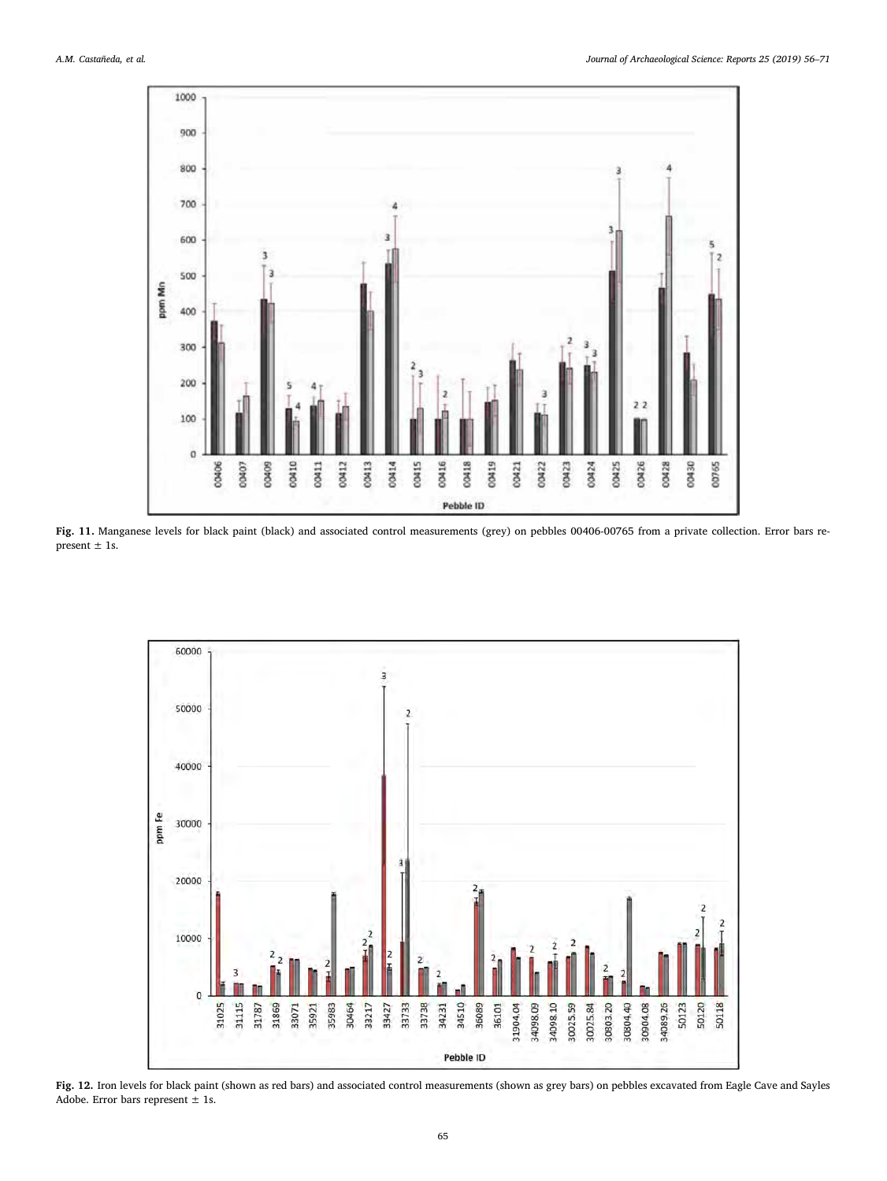

Fig. 11. Manganese levels for black paint (black) and associated control measurements (grey) on pebbles 00406-00765 from a private collection. Error bars represent  $\pm$  1s.

<span id="page-9-0"></span>

Fig. 12. Iron levels for black paint (shown as red bars) and associated control measurements (shown as grey bars) on pebbles excavated from Eagle Cave and Sayles Adobe. Error bars represent  $\pm$  1s.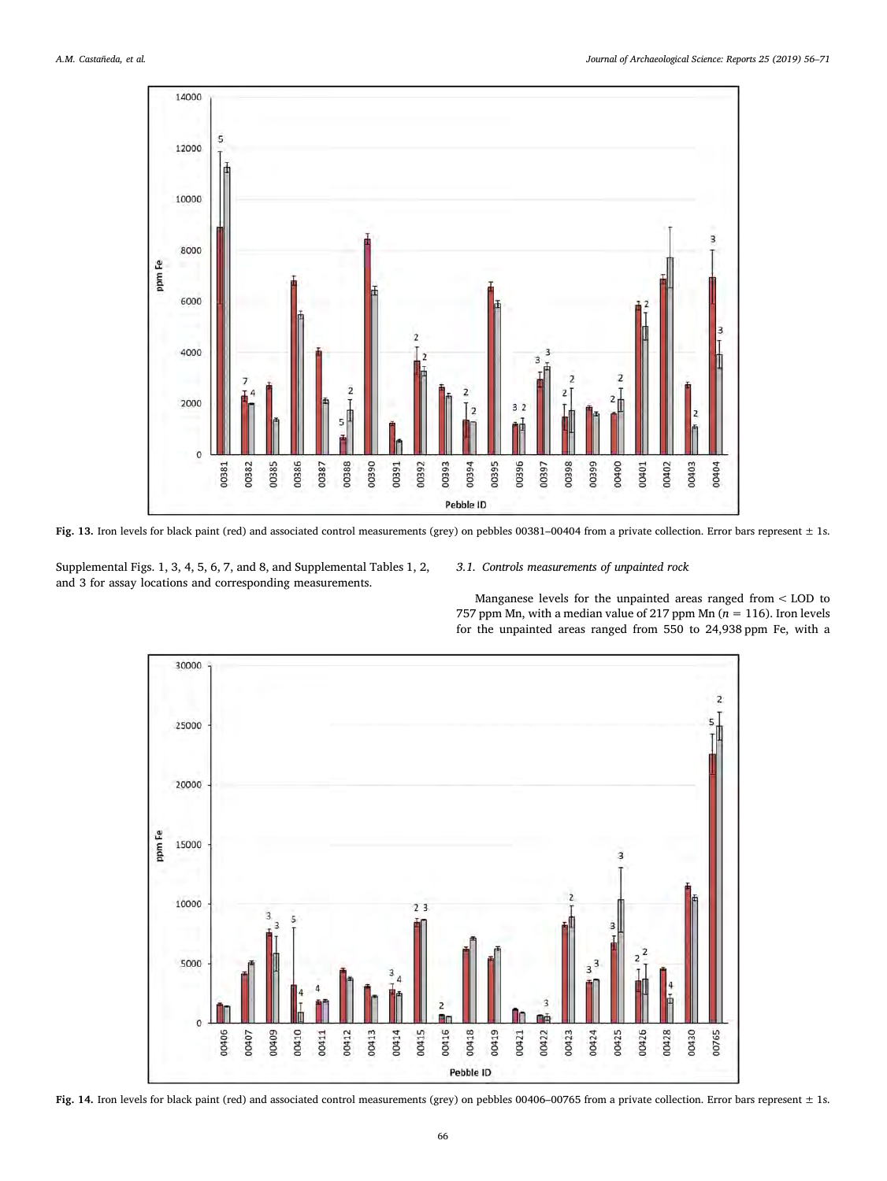

Fig. 13. Iron levels for black paint (red) and associated control measurements (grey) on pebbles 00381-00404 from a private collection. Error bars represent  $\pm$  1s.

Supplemental Figs. 1, 3, 4, 5, 6, 7, and 8, and Supplemental Tables 1, 2, and 3 for assay locations and corresponding measurements.

### 3.1. Controls measurements of unpainted rock

Manganese levels for the unpainted areas ranged from < LOD to 757 ppm Mn, with a median value of 217 ppm Mn ( $n = 116$ ). Iron levels for the unpainted areas ranged from 550 to 24,938 ppm Fe, with a



Fig. 14. Iron levels for black paint (red) and associated control measurements (grey) on pebbles 00406-00765 from a private collection. Error bars represent ± 1s.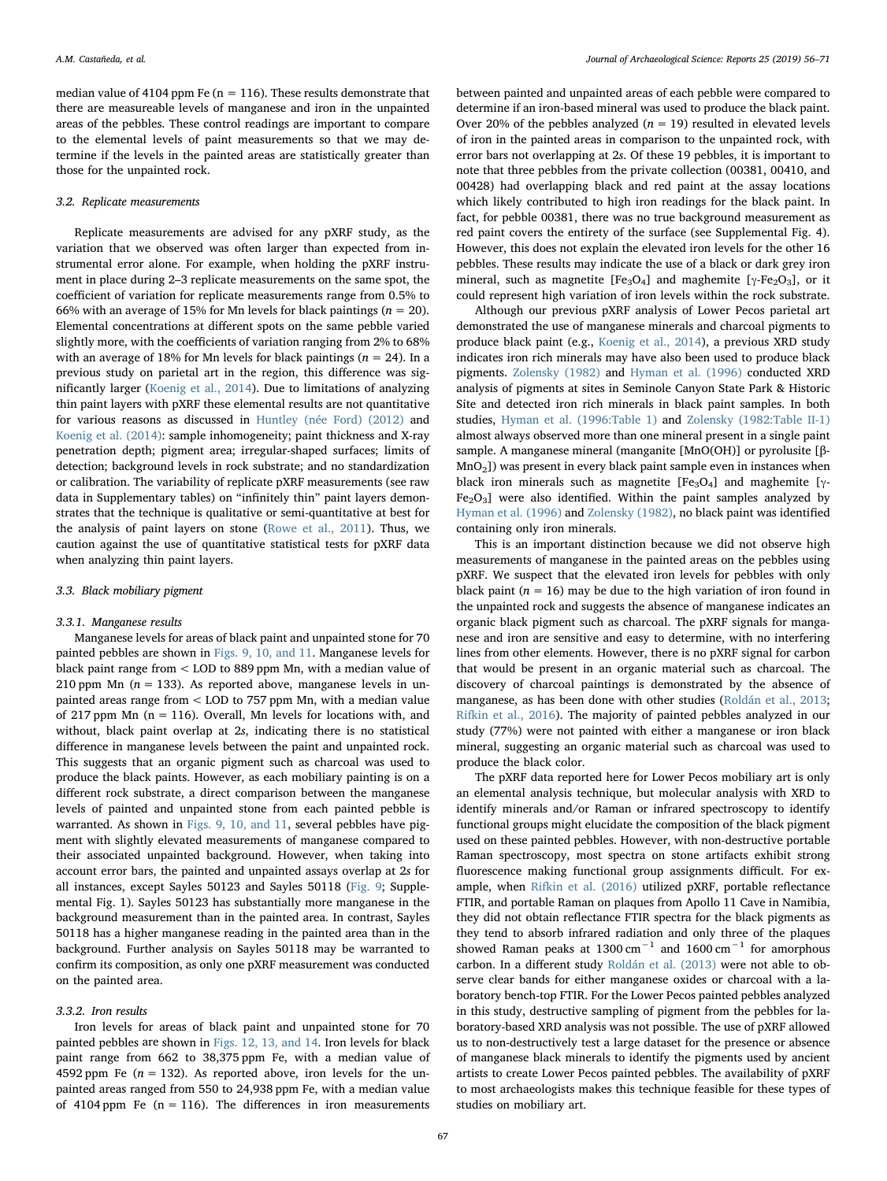median value of 4104 ppm Fe ( $n = 116$ ). These results demonstrate that there are measureable levels of manganese and iron in the unpainted areas of the pebbles. These control readings are important to compare to the elemental levels of paint measurements so that we may determine if the levels in the painted areas are statistically greater than those for the unpainted rock.

#### 3.2. Replicate measurements

Replicate measurements are advised for any pXRF study, as the variation that we observed was often larger than expected from instrumental error alone. For example, when holding the pXRF instrument in place during 2–3 replicate measurements on the same spot, the coefficient of variation for replicate measurements range from 0.5% to 66% with an average of 15% for Mn levels for black paintings ( $n = 20$ ). Elemental concentrations at different spots on the same pebble varied slightly more, with the coefficients of variation ranging from 2% to 68% with an average of 18% for Mn levels for black paintings ( $n = 24$ ). In a previous study on parietal art in the region, this difference was significantly larger ([Koenig et al., 2014](#page-14-13)). Due to limitations of analyzing thin paint layers with pXRF these elemental results are not quantitative for various reasons as discussed in [Huntley \(née Ford\) \(2012\)](#page-14-11) and [Koenig et al. \(2014\):](#page-14-13) sample inhomogeneity; paint thickness and X-ray penetration depth; pigment area; irregular-shaped surfaces; limits of detection; background levels in rock substrate; and no standardization or calibration. The variability of replicate pXRF measurements (see raw data in Supplementary tables) on "infinitely thin" paint layers demonstrates that the technique is qualitative or semi-quantitative at best for the analysis of paint layers on stone ([Rowe et al., 2011](#page-14-20)). Thus, we caution against the use of quantitative statistical tests for pXRF data when analyzing thin paint layers.

#### 3.3. Black mobiliary pigment

#### 3.3.1. Manganese results

Manganese levels for areas of black paint and unpainted stone for 70 painted pebbles are shown in [Figs. 9, 10, and 11.](#page-8-0) Manganese levels for black paint range from < LOD to 889 ppm Mn, with a median value of 210 ppm Mn ( $n = 133$ ). As reported above, manganese levels in unpainted areas range from < LOD to 757 ppm Mn, with a median value of 217 ppm Mn  $(n = 116)$ . Overall, Mn levels for locations with, and without, black paint overlap at 2s, indicating there is no statistical difference in manganese levels between the paint and unpainted rock. This suggests that an organic pigment such as charcoal was used to produce the black paints. However, as each mobiliary painting is on a different rock substrate, a direct comparison between the manganese levels of painted and unpainted stone from each painted pebble is warranted. As shown in [Figs. 9, 10, and 11](#page-8-0), several pebbles have pigment with slightly elevated measurements of manganese compared to their associated unpainted background. However, when taking into account error bars, the painted and unpainted assays overlap at 2s for all instances, except Sayles 50123 and Sayles 50118 ([Fig. 9;](#page-8-0) Supplemental Fig. 1). Sayles 50123 has substantially more manganese in the background measurement than in the painted area. In contrast, Sayles 50118 has a higher manganese reading in the painted area than in the background. Further analysis on Sayles 50118 may be warranted to confirm its composition, as only one pXRF measurement was conducted on the painted area.

## 3.3.2. Iron results

Iron levels for areas of black paint and unpainted stone for 70 painted pebbles are shown in [Figs. 12, 13, and 14.](#page-9-0) Iron levels for black paint range from 662 to 38,375 ppm Fe, with a median value of 4592 ppm Fe ( $n = 132$ ). As reported above, iron levels for the unpainted areas ranged from 550 to 24,938 ppm Fe, with a median value of 4104 ppm Fe  $(n = 116)$ . The differences in iron measurements

between painted and unpainted areas of each pebble were compared to determine if an iron-based mineral was used to produce the black paint. Over 20% of the pebbles analyzed ( $n = 19$ ) resulted in elevated levels of iron in the painted areas in comparison to the unpainted rock, with error bars not overlapping at 2s. Of these 19 pebbles, it is important to note that three pebbles from the private collection (00381, 00410, and 00428) had overlapping black and red paint at the assay locations which likely contributed to high iron readings for the black paint. In fact, for pebble 00381, there was no true background measurement as red paint covers the entirety of the surface (see Supplemental Fig. 4). However, this does not explain the elevated iron levels for the other 16 pebbles. These results may indicate the use of a black or dark grey iron mineral, such as magnetite  $[Fe_3O_4]$  and maghemite  $[\gamma-Fe_2O_3]$ , or it could represent high variation of iron levels within the rock substrate.

Although our previous pXRF analysis of Lower Pecos parietal art demonstrated the use of manganese minerals and charcoal pigments to produce black paint (e.g., [Koenig et al., 2014](#page-14-13)), a previous XRD study indicates iron rich minerals may have also been used to produce black pigments. [Zolensky \(1982\)](#page-15-4) and [Hyman et al. \(1996\)](#page-14-23) conducted XRD analysis of pigments at sites in Seminole Canyon State Park & Historic Site and detected iron rich minerals in black paint samples. In both studies, [Hyman et al. \(1996:Table 1\)](#page-14-23) and [Zolensky \(1982:Table II-1\)](#page-15-4) almost always observed more than one mineral present in a single paint sample. A manganese mineral (manganite [MnO(OH)] or pyrolusite [β-MnO2]) was present in every black paint sample even in instances when black iron minerals such as magnetite [Fe<sub>3</sub>O<sub>4</sub>] and maghemite [γ- $Fe<sub>2</sub>O<sub>3</sub>$ ] were also identified. Within the paint samples analyzed by [Hyman et al. \(1996\)](#page-14-23) and [Zolensky \(1982\)](#page-15-4), no black paint was identified containing only iron minerals.

This is an important distinction because we did not observe high measurements of manganese in the painted areas on the pebbles using pXRF. We suspect that the elevated iron levels for pebbles with only black paint ( $n = 16$ ) may be due to the high variation of iron found in the unpainted rock and suggests the absence of manganese indicates an organic black pigment such as charcoal. The pXRF signals for manganese and iron are sensitive and easy to determine, with no interfering lines from other elements. However, there is no pXRF signal for carbon that would be present in an organic material such as charcoal. The discovery of charcoal paintings is demonstrated by the absence of manganese, as has been done with other studies [\(Roldán et al., 2013](#page-14-8); [Rifkin et al., 2016](#page-14-22)). The majority of painted pebbles analyzed in our study (77%) were not painted with either a manganese or iron black mineral, suggesting an organic material such as charcoal was used to produce the black color.

The pXRF data reported here for Lower Pecos mobiliary art is only an elemental analysis technique, but molecular analysis with XRD to identify minerals and/or Raman or infrared spectroscopy to identify functional groups might elucidate the composition of the black pigment used on these painted pebbles. However, with non-destructive portable Raman spectroscopy, most spectra on stone artifacts exhibit strong fluorescence making functional group assignments difficult. For example, when [Rifkin et al. \(2016\)](#page-14-22) utilized pXRF, portable reflectance FTIR, and portable Raman on plaques from Apollo 11 Cave in Namibia, they did not obtain reflectance FTIR spectra for the black pigments as they tend to absorb infrared radiation and only three of the plaques showed Raman peaks at 1300 cm<sup>-1</sup> and 1600 cm<sup>-1</sup> for amorphous carbon. In a different study [Roldán et al. \(2013\)](#page-14-8) were not able to observe clear bands for either manganese oxides or charcoal with a laboratory bench-top FTIR. For the Lower Pecos painted pebbles analyzed in this study, destructive sampling of pigment from the pebbles for laboratory-based XRD analysis was not possible. The use of pXRF allowed us to non-destructively test a large dataset for the presence or absence of manganese black minerals to identify the pigments used by ancient artists to create Lower Pecos painted pebbles. The availability of pXRF to most archaeologists makes this technique feasible for these types of studies on mobiliary art.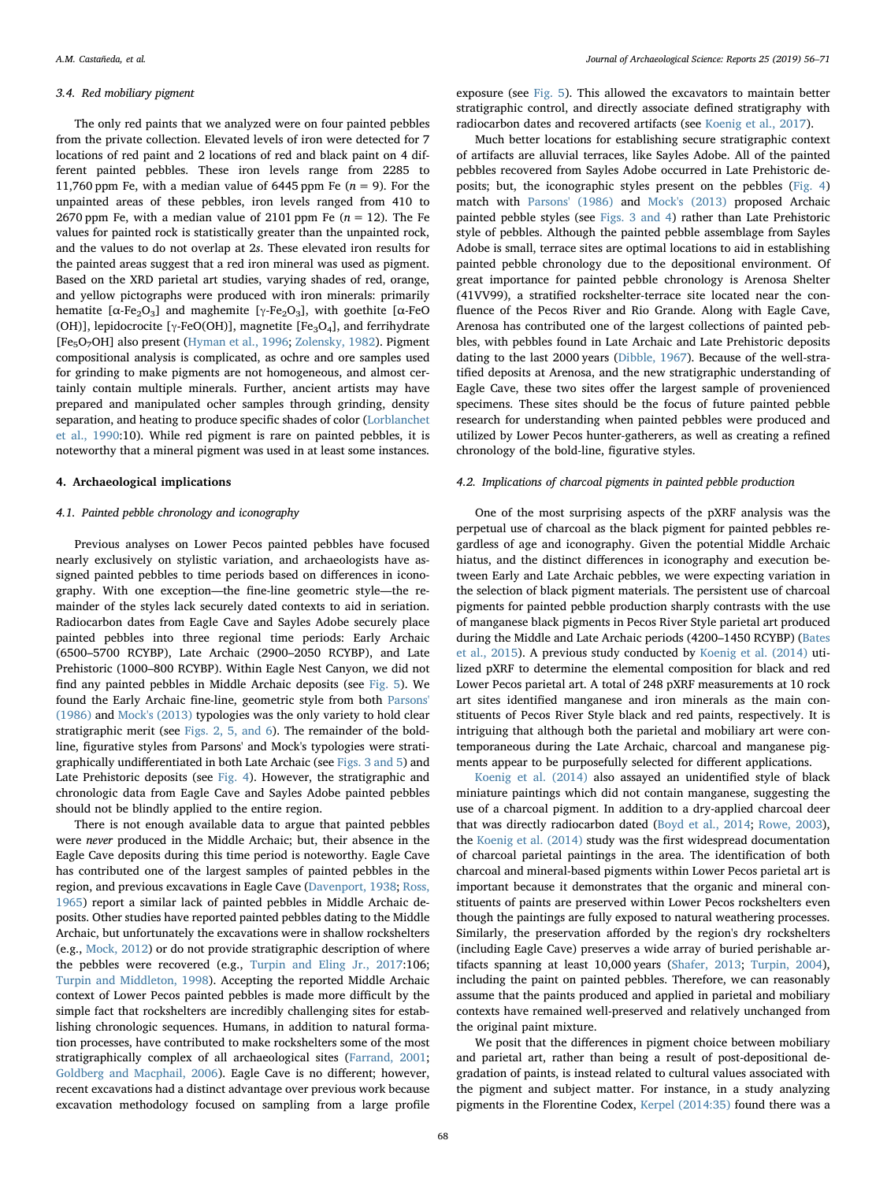#### 3.4. Red mobiliary pigment

The only red paints that we analyzed were on four painted pebbles from the private collection. Elevated levels of iron were detected for 7 locations of red paint and 2 locations of red and black paint on 4 different painted pebbles. These iron levels range from 2285 to 11,760 ppm Fe, with a median value of 6445 ppm Fe ( $n = 9$ ). For the unpainted areas of these pebbles, iron levels ranged from 410 to 2670 ppm Fe, with a median value of 2101 ppm Fe ( $n = 12$ ). The Fe values for painted rock is statistically greater than the unpainted rock, and the values to do not overlap at 2s. These elevated iron results for the painted areas suggest that a red iron mineral was used as pigment. Based on the XRD parietal art studies, varying shades of red, orange, and yellow pictographs were produced with iron minerals: primarily hematite [ $\alpha$ -Fe<sub>2</sub>O<sub>3</sub>] and maghemite [γ-Fe<sub>2</sub>O<sub>3</sub>], with goethite [ $\alpha$ -FeO (OH)], lepidocrocite [ $\gamma$ -FeO(OH)], magnetite [Fe<sub>3</sub>O<sub>4</sub>], and ferrihydrate [Fe<sub>5</sub>O<sub>7</sub>OH] also present [\(Hyman et al., 1996;](#page-14-23) [Zolensky, 1982](#page-15-4)). Pigment compositional analysis is complicated, as ochre and ore samples used for grinding to make pigments are not homogeneous, and almost certainly contain multiple minerals. Further, ancient artists may have prepared and manipulated ocher samples through grinding, density separation, and heating to produce specific shades of color ([Lorblanchet](#page-14-53) [et al., 1990](#page-14-53):10). While red pigment is rare on painted pebbles, it is noteworthy that a mineral pigment was used in at least some instances.

#### 4. Archaeological implications

## 4.1. Painted pebble chronology and iconography

Previous analyses on Lower Pecos painted pebbles have focused nearly exclusively on stylistic variation, and archaeologists have assigned painted pebbles to time periods based on differences in iconography. With one exception—the fine-line geometric style—the remainder of the styles lack securely dated contexts to aid in seriation. Radiocarbon dates from Eagle Cave and Sayles Adobe securely place painted pebbles into three regional time periods: Early Archaic (6500–5700 RCYBP), Late Archaic (2900–2050 RCYBP), and Late Prehistoric (1000–800 RCYBP). Within Eagle Nest Canyon, we did not find any painted pebbles in Middle Archaic deposits (see [Fig. 5\)](#page-6-0). We found the Early Archaic fine-line, geometric style from both [Parsons'](#page-14-28) [\(1986\)](#page-14-28) and [Mock's \(2013\)](#page-14-46) typologies was the only variety to hold clear stratigraphic merit (see [Figs. 2, 5, and 6\)](#page-3-0). The remainder of the boldline, figurative styles from Parsons' and Mock's typologies were stratigraphically undifferentiated in both Late Archaic (see [Figs. 3 and 5\)](#page-4-0) and Late Prehistoric deposits (see [Fig. 4](#page-5-0)). However, the stratigraphic and chronologic data from Eagle Cave and Sayles Adobe painted pebbles should not be blindly applied to the entire region.

There is not enough available data to argue that painted pebbles were never produced in the Middle Archaic; but, their absence in the Eagle Cave deposits during this time period is noteworthy. Eagle Cave has contributed one of the largest samples of painted pebbles in the region, and previous excavations in Eagle Cave [\(Davenport, 1938](#page-13-11); [Ross,](#page-14-38) [1965\)](#page-14-38) report a similar lack of painted pebbles in Middle Archaic deposits. Other studies have reported painted pebbles dating to the Middle Archaic, but unfortunately the excavations were in shallow rockshelters (e.g., [Mock, 2012\)](#page-14-25) or do not provide stratigraphic description of where the pebbles were recovered (e.g., [Turpin and Eling Jr., 2017:](#page-15-9)106; [Turpin and Middleton, 1998](#page-15-0)). Accepting the reported Middle Archaic context of Lower Pecos painted pebbles is made more difficult by the simple fact that rockshelters are incredibly challenging sites for establishing chronologic sequences. Humans, in addition to natural formation processes, have contributed to make rockshelters some of the most stratigraphically complex of all archaeological sites ([Farrand, 2001](#page-14-54); [Goldberg and Macphail, 2006](#page-14-55)). Eagle Cave is no different; however, recent excavations had a distinct advantage over previous work because excavation methodology focused on sampling from a large profile

exposure (see [Fig. 5](#page-6-0)). This allowed the excavators to maintain better stratigraphic control, and directly associate defined stratigraphy with radiocarbon dates and recovered artifacts (see [Koenig et al., 2017\)](#page-14-42).

Much better locations for establishing secure stratigraphic context of artifacts are alluvial terraces, like Sayles Adobe. All of the painted pebbles recovered from Sayles Adobe occurred in Late Prehistoric deposits; but, the iconographic styles present on the pebbles ([Fig. 4\)](#page-5-0) match with [Parsons' \(1986\)](#page-14-28) and [Mock's \(2013\)](#page-14-46) proposed Archaic painted pebble styles (see [Figs. 3 and 4](#page-4-0)) rather than Late Prehistoric style of pebbles. Although the painted pebble assemblage from Sayles Adobe is small, terrace sites are optimal locations to aid in establishing painted pebble chronology due to the depositional environment. Of great importance for painted pebble chronology is Arenosa Shelter (41VV99), a stratified rockshelter-terrace site located near the confluence of the Pecos River and Rio Grande. Along with Eagle Cave, Arenosa has contributed one of the largest collections of painted pebbles, with pebbles found in Late Archaic and Late Prehistoric deposits dating to the last 2000 years [\(Dibble, 1967](#page-14-49)). Because of the well-stratified deposits at Arenosa, and the new stratigraphic understanding of Eagle Cave, these two sites offer the largest sample of provenienced specimens. These sites should be the focus of future painted pebble research for understanding when painted pebbles were produced and utilized by Lower Pecos hunter-gatherers, as well as creating a refined chronology of the bold-line, figurative styles.

#### 4.2. Implications of charcoal pigments in painted pebble production

One of the most surprising aspects of the pXRF analysis was the perpetual use of charcoal as the black pigment for painted pebbles regardless of age and iconography. Given the potential Middle Archaic hiatus, and the distinct differences in iconography and execution between Early and Late Archaic pebbles, we were expecting variation in the selection of black pigment materials. The persistent use of charcoal pigments for painted pebble production sharply contrasts with the use of manganese black pigments in Pecos River Style parietal art produced during the Middle and Late Archaic periods (4200–1450 RCYBP) ([Bates](#page-13-4) [et al., 2015\)](#page-13-4). A previous study conducted by [Koenig et al. \(2014\)](#page-14-13) utilized pXRF to determine the elemental composition for black and red Lower Pecos parietal art. A total of 248 pXRF measurements at 10 rock art sites identified manganese and iron minerals as the main constituents of Pecos River Style black and red paints, respectively. It is intriguing that although both the parietal and mobiliary art were contemporaneous during the Late Archaic, charcoal and manganese pigments appear to be purposefully selected for different applications.

[Koenig et al. \(2014\)](#page-14-13) also assayed an unidentified style of black miniature paintings which did not contain manganese, suggesting the use of a charcoal pigment. In addition to a dry-applied charcoal deer that was directly radiocarbon dated ([Boyd et al., 2014](#page-13-16); [Rowe, 2003](#page-14-56)), the [Koenig et al. \(2014\)](#page-14-13) study was the first widespread documentation of charcoal parietal paintings in the area. The identification of both charcoal and mineral-based pigments within Lower Pecos parietal art is important because it demonstrates that the organic and mineral constituents of paints are preserved within Lower Pecos rockshelters even though the paintings are fully exposed to natural weathering processes. Similarly, the preservation afforded by the region's dry rockshelters (including Eagle Cave) preserves a wide array of buried perishable artifacts spanning at least 10,000 years [\(Shafer, 2013;](#page-15-6) [Turpin, 2004](#page-15-5)), including the paint on painted pebbles. Therefore, we can reasonably assume that the paints produced and applied in parietal and mobiliary contexts have remained well-preserved and relatively unchanged from the original paint mixture.

We posit that the differences in pigment choice between mobiliary and parietal art, rather than being a result of post-depositional degradation of paints, is instead related to cultural values associated with the pigment and subject matter. For instance, in a study analyzing pigments in the Florentine Codex, [Kerpel \(2014:35\)](#page-14-57) found there was a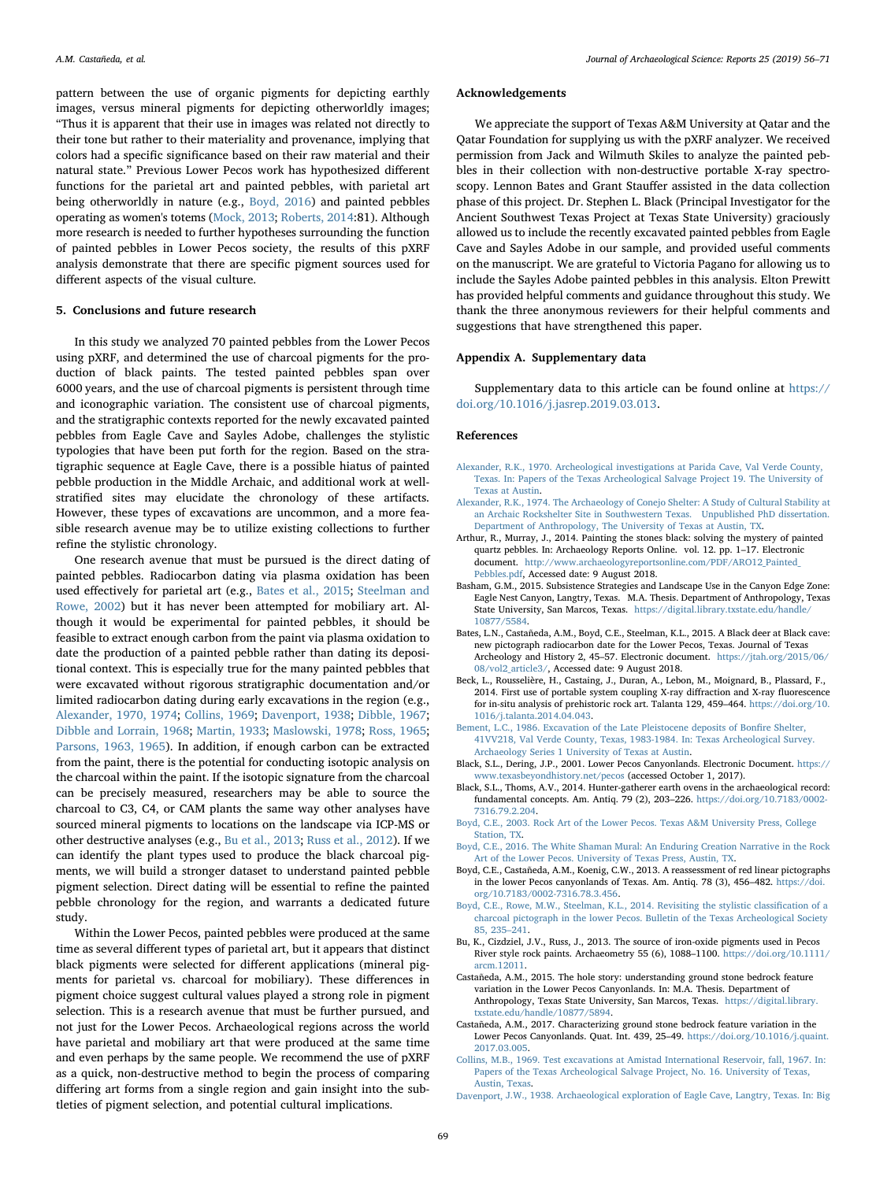Acknowledgements

pattern between the use of organic pigments for depicting earthly images, versus mineral pigments for depicting otherworldly images; "Thus it is apparent that their use in images was related not directly to their tone but rather to their materiality and provenance, implying that colors had a specific significance based on their raw material and their natural state." Previous Lower Pecos work has hypothesized different functions for the parietal art and painted pebbles, with parietal art being otherworldly in nature (e.g., [Boyd, 2016](#page-13-12)) and painted pebbles operating as women's totems [\(Mock, 2013;](#page-14-46) [Roberts, 2014:](#page-14-29)81). Although more research is needed to further hypotheses surrounding the function of painted pebbles in Lower Pecos society, the results of this pXRF analysis demonstrate that there are specific pigment sources used for different aspects of the visual culture.

#### 5. Conclusions and future research

In this study we analyzed 70 painted pebbles from the Lower Pecos using pXRF, and determined the use of charcoal pigments for the production of black paints. The tested painted pebbles span over 6000 years, and the use of charcoal pigments is persistent through time and iconographic variation. The consistent use of charcoal pigments, and the stratigraphic contexts reported for the newly excavated painted pebbles from Eagle Cave and Sayles Adobe, challenges the stylistic typologies that have been put forth for the region. Based on the stratigraphic sequence at Eagle Cave, there is a possible hiatus of painted pebble production in the Middle Archaic, and additional work at wellstratified sites may elucidate the chronology of these artifacts. However, these types of excavations are uncommon, and a more feasible research avenue may be to utilize existing collections to further refine the stylistic chronology.

One research avenue that must be pursued is the direct dating of painted pebbles. Radiocarbon dating via plasma oxidation has been used effectively for parietal art (e.g., [Bates et al., 2015](#page-13-4); [Steelman and](#page-15-10) [Rowe, 2002](#page-15-10)) but it has never been attempted for mobiliary art. Although it would be experimental for painted pebbles, it should be feasible to extract enough carbon from the paint via plasma oxidation to date the production of a painted pebble rather than dating its depositional context. This is especially true for the many painted pebbles that were excavated without rigorous stratigraphic documentation and/or limited radiocarbon dating during early excavations in the region (e.g., [Alexander, 1970, 1974](#page-13-14); [Collins, 1969;](#page-13-15) [Davenport, 1938;](#page-13-11) [Dibble, 1967](#page-14-49); [Dibble and Lorrain, 1968](#page-14-36); [Martin, 1933;](#page-14-32) [Maslowski, 1978](#page-14-50); [Ross, 1965](#page-14-38); [Parsons, 1963, 1965](#page-14-51)). In addition, if enough carbon can be extracted from the paint, there is the potential for conducting isotopic analysis on the charcoal within the paint. If the isotopic signature from the charcoal can be precisely measured, researchers may be able to source the charcoal to C3, C4, or CAM plants the same way other analyses have sourced mineral pigments to locations on the landscape via ICP-MS or other destructive analyses (e.g., [Bu et al., 2013;](#page-13-2) [Russ et al., 2012\)](#page-14-24). If we can identify the plant types used to produce the black charcoal pigments, we will build a stronger dataset to understand painted pebble pigment selection. Direct dating will be essential to refine the painted pebble chronology for the region, and warrants a dedicated future study.

Within the Lower Pecos, painted pebbles were produced at the same time as several different types of parietal art, but it appears that distinct black pigments were selected for different applications (mineral pigments for parietal vs. charcoal for mobiliary). These differences in pigment choice suggest cultural values played a strong role in pigment selection. This is a research avenue that must be further pursued, and not just for the Lower Pecos. Archaeological regions across the world have parietal and mobiliary art that were produced at the same time and even perhaps by the same people. We recommend the use of pXRF as a quick, non-destructive method to begin the process of comparing differing art forms from a single region and gain insight into the subtleties of pigment selection, and potential cultural implications.

We appreciate the support of Texas A&M University at Qatar and the Qatar Foundation for supplying us with the pXRF analyzer. We received permission from Jack and Wilmuth Skiles to analyze the painted pebbles in their collection with non-destructive portable X-ray spectroscopy. Lennon Bates and Grant Stauffer assisted in the data collection phase of this project. Dr. Stephen L. Black (Principal Investigator for the Ancient Southwest Texas Project at Texas State University) graciously allowed us to include the recently excavated painted pebbles from Eagle Cave and Sayles Adobe in our sample, and provided useful comments on the manuscript. We are grateful to Victoria Pagano for allowing us to include the Sayles Adobe painted pebbles in this analysis. Elton Prewitt has provided helpful comments and guidance throughout this study. We thank the three anonymous reviewers for their helpful comments and suggestions that have strengthened this paper.

## Appendix A. Supplementary data

Supplementary data to this article can be found online at [https://](https://doi.org/10.1016/j.jasrep.2019.03.013) [doi.org/10.1016/j.jasrep.2019.03.013](https://doi.org/10.1016/j.jasrep.2019.03.013).

#### References

- <span id="page-13-14"></span>[Alexander, R.K., 1970. Archeological investigations at Parida Cave, Val Verde County,](http://refhub.elsevier.com/S2352-409X(18)30677-1/rf0005) [Texas. In: Papers of the Texas Archeological Salvage Project 19. The University of](http://refhub.elsevier.com/S2352-409X(18)30677-1/rf0005) [Texas at Austin](http://refhub.elsevier.com/S2352-409X(18)30677-1/rf0005).
- <span id="page-13-3"></span>[Alexander, R.K., 1974. The Archaeology of Conejo Shelter: A Study of Cultural Stability at](http://refhub.elsevier.com/S2352-409X(18)30677-1/rf0010) [an Archaic Rockshelter Site in Southwestern Texas. Unpublished PhD dissertation.](http://refhub.elsevier.com/S2352-409X(18)30677-1/rf0010) [Department of Anthropology, The University of Texas at Austin, TX.](http://refhub.elsevier.com/S2352-409X(18)30677-1/rf0010)
- <span id="page-13-0"></span>Arthur, R., Murray, J., 2014. Painting the stones black: solving the mystery of painted quartz pebbles. In: Archaeology Reports Online. vol. 12. pp. 1–17. Electronic document. [http://www.archaeologyreportsonline.com/PDF/ARO12\\_Painted\\_](http://www.archaeologyreportsonline.com/PDF/ARO12_Painted_Pebbles.pdf) [Pebbles.pdf](http://www.archaeologyreportsonline.com/PDF/ARO12_Painted_Pebbles.pdf), Accessed date: 9 August 2018.
- <span id="page-13-8"></span>Basham, G.M., 2015. Subsistence Strategies and Landscape Use in the Canyon Edge Zone: Eagle Nest Canyon, Langtry, Texas. M.A. Thesis. Department of Anthropology, Texas State University, San Marcos, Texas. [https://digital.library.txstate.edu/handle/](https://digital.library.txstate.edu/handle/10877/5584) [10877/5584.](https://digital.library.txstate.edu/handle/10877/5584)
- <span id="page-13-4"></span>Bates, L.N., Castañeda, A.M., Boyd, C.E., Steelman, K.L., 2015. A Black deer at Black cave: new pictograph radiocarbon date for the Lower Pecos, Texas. Journal of Texas Archeology and History 2, 45–57. Electronic document. [https://jtah.org/2015/06/](https://jtah.org/2015/06/08/vol2_article3/) [08/vol2\\_article3/,](https://jtah.org/2015/06/08/vol2_article3/) Accessed date: 9 August 2018.
- <span id="page-13-1"></span>Beck, L., Rousselière, H., Castaing, J., Duran, A., Lebon, M., Moignard, B., Plassard, F., 2014. First use of portable system coupling X-ray diffraction and X-ray fluorescence for in-situ analysis of prehistoric rock art. Talanta 129, 459–464. [https://doi.org/10.](https://doi.org/10.1016/j.talanta.2014.04.043) [1016/j.talanta.2014.04.043.](https://doi.org/10.1016/j.talanta.2014.04.043)
- <span id="page-13-9"></span>[Bement, L.C., 1986. Excavation of the Late Pleistocene deposits of Bon](http://refhub.elsevier.com/S2352-409X(18)30677-1/rf0035)fire Shelter, [41VV218, Val Verde County, Texas, 1983-1984. In: Texas Archeological Survey.](http://refhub.elsevier.com/S2352-409X(18)30677-1/rf0035) [Archaeology Series 1 University of Texas at Austin](http://refhub.elsevier.com/S2352-409X(18)30677-1/rf0035).
- <span id="page-13-7"></span>Black, S.L., Dering, J.P., 2001. Lower Pecos Canyonlands. Electronic Document. [https://](https://www.texasbeyondhistory.net/pecos) [www.texasbeyondhistory.net/pecos](https://www.texasbeyondhistory.net/pecos) (accessed October 1, 2017).
- <span id="page-13-13"></span>Black, S.L., Thoms, A.V., 2014. Hunter-gatherer earth ovens in the archaeological record: fundamental concepts. Am. Antiq. 79 (2), 203–226. [https://doi.org/10.7183/0002-](https://doi.org/10.7183/0002-7316.79.2.204) [7316.79.2.204.](https://doi.org/10.7183/0002-7316.79.2.204)
- <span id="page-13-5"></span>[Boyd, C.E., 2003. Rock Art of the Lower Pecos. Texas A&M University Press, College](http://refhub.elsevier.com/S2352-409X(18)30677-1/rf0050) [Station, TX](http://refhub.elsevier.com/S2352-409X(18)30677-1/rf0050).
- <span id="page-13-12"></span>[Boyd, C.E., 2016. The White Shaman Mural: An Enduring Creation Narrative in the Rock](http://refhub.elsevier.com/S2352-409X(18)30677-1/rf0055) [Art of the Lower Pecos. University of Texas Press, Austin, TX.](http://refhub.elsevier.com/S2352-409X(18)30677-1/rf0055)
- <span id="page-13-6"></span>Boyd, C.E., Castañeda, A.M., Koenig, C.W., 2013. A reassessment of red linear pictographs in the lower Pecos canyonlands of Texas. Am. Antiq. 78 (3), 456–482. [https://doi.](https://doi.org/10.7183/0002-7316.78.3.456) [org/10.7183/0002-7316.78.3.456](https://doi.org/10.7183/0002-7316.78.3.456).
- <span id="page-13-16"></span>[Boyd, C.E., Rowe, M.W., Steelman, K.L., 2014. Revisiting the stylistic classi](http://refhub.elsevier.com/S2352-409X(18)30677-1/rf0065)fication of a [charcoal pictograph in the lower Pecos. Bulletin of the Texas Archeological Society](http://refhub.elsevier.com/S2352-409X(18)30677-1/rf0065) [85, 235](http://refhub.elsevier.com/S2352-409X(18)30677-1/rf0065)–241.
- <span id="page-13-2"></span>Bu, K., Cizdziel, J.V., Russ, J., 2013. The source of iron-oxide pigments used in Pecos River style rock paints. Archaeometry 55 (6), 1088–1100. [https://doi.org/10.1111/](https://doi.org/10.1111/arcm.12011) [arcm.12011](https://doi.org/10.1111/arcm.12011).
- <span id="page-13-10"></span>Castañeda, A.M., 2015. The hole story: understanding ground stone bedrock feature variation in the Lower Pecos Canyonlands. In: M.A. Thesis. Department of Anthropology, Texas State University, San Marcos, Texas. [https://digital.library.](https://digital.library.txstate.edu/handle/10877/5894) [txstate.edu/handle/10877/5894](https://digital.library.txstate.edu/handle/10877/5894).
- Castañeda, A.M., 2017. Characterizing ground stone bedrock feature variation in the Lower Pecos Canyonlands. Quat. Int. 439, 25–49. [https://doi.org/10.1016/j.quaint.](https://doi.org/10.1016/j.quaint.2017.03.005) [2017.03.005](https://doi.org/10.1016/j.quaint.2017.03.005).
- <span id="page-13-15"></span>[Collins, M.B., 1969. Test excavations at Amistad International Reservoir, fall, 1967. In:](http://refhub.elsevier.com/S2352-409X(18)30677-1/rf0085) [Papers of the Texas Archeological Salvage Project, No. 16. University of Texas,](http://refhub.elsevier.com/S2352-409X(18)30677-1/rf0085) [Austin, Texas.](http://refhub.elsevier.com/S2352-409X(18)30677-1/rf0085)
- <span id="page-13-11"></span>Davenport, J.W., [1938. Archaeological exploration of Eagle Cave, Langtry, Texas. In: Big](http://refhub.elsevier.com/S2352-409X(18)30677-1/rf0090)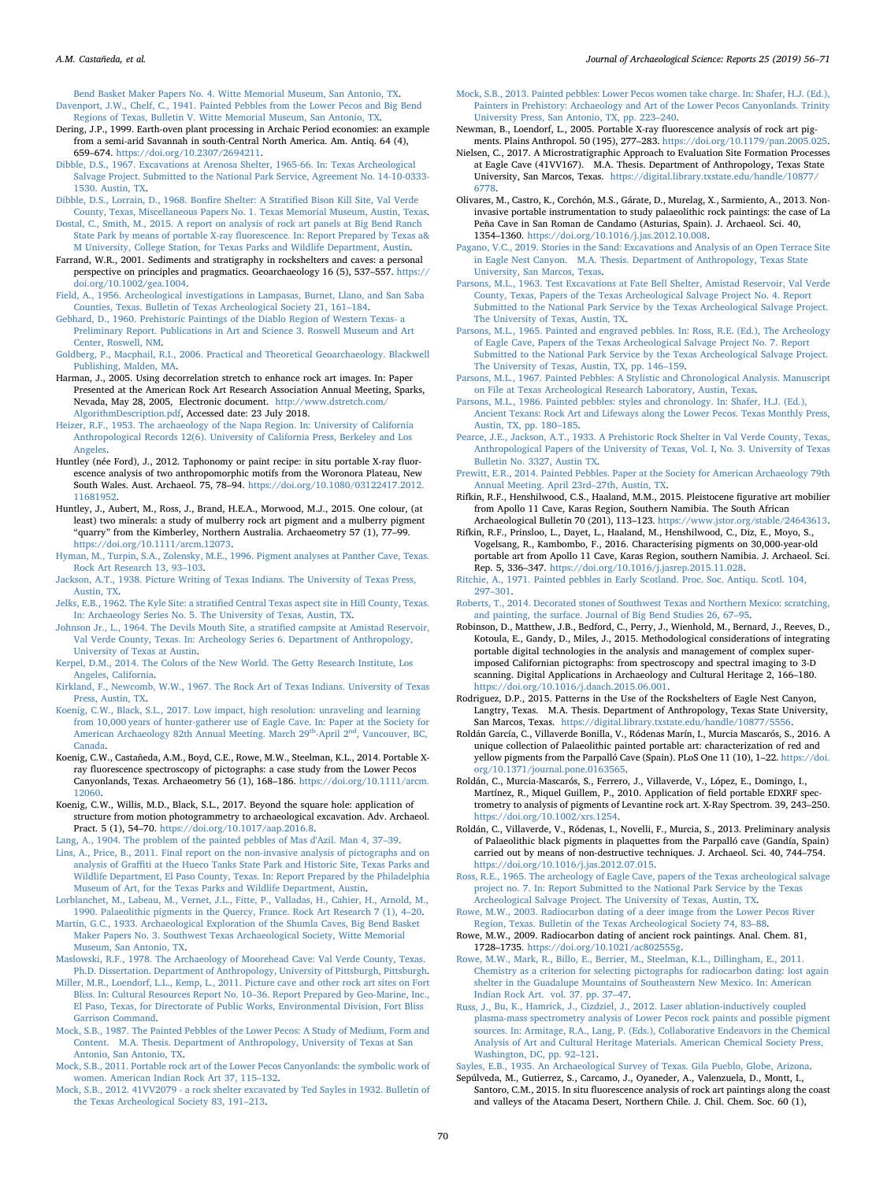<span id="page-14-0"></span>[Bend Basket Maker Papers No. 4. Witte Memorial Museum, San Antonio, TX.](http://refhub.elsevier.com/S2352-409X(18)30677-1/rf0090) [Davenport, J.W., Chelf, C., 1941. Painted Pebbles from the Lower Pecos and Big Bend](http://refhub.elsevier.com/S2352-409X(18)30677-1/rf0095) [Regions of Texas, Bulletin V. Witte Memorial Museum, San Antonio, TX](http://refhub.elsevier.com/S2352-409X(18)30677-1/rf0095).

- <span id="page-14-47"></span>Dering, J.P., 1999. Earth-oven plant processing in Archaic Period economies: an example from a semi-arid Savannah in south-Central North America. Am. Antiq. 64 (4), 659–674. <https://doi.org/10.2307/2694211>.
- <span id="page-14-49"></span>[Dibble, D.S., 1967. Excavations at Arenosa Shelter, 1965-66. In: Texas Archeological](http://refhub.elsevier.com/S2352-409X(18)30677-1/rf0105) [Salvage Project. Submitted to the National Park Service, Agreement No. 14-10-0333-](http://refhub.elsevier.com/S2352-409X(18)30677-1/rf0105) [1530. Austin, TX.](http://refhub.elsevier.com/S2352-409X(18)30677-1/rf0105)
- <span id="page-14-36"></span>[Dibble, D.S., Lorrain, D., 1968. Bon](http://refhub.elsevier.com/S2352-409X(18)30677-1/rf0110)fire Shelter: A Stratified Bison Kill Site, Val Verde [County, Texas, Miscellaneous Papers No. 1. Texas Memorial Museum, Austin, Texas.](http://refhub.elsevier.com/S2352-409X(18)30677-1/rf0110)
- <span id="page-14-10"></span>[Dostal, C., Smith, M., 2015. A report on analysis of rock art panels at Big Bend Ranch](http://refhub.elsevier.com/S2352-409X(18)30677-1/rf0115) State Park by means of portable X-ray fl[uorescence. In: Report Prepared by Texas a&](http://refhub.elsevier.com/S2352-409X(18)30677-1/rf0115) [M University, College Station, for Texas Parks and Wildlife Department, Austin](http://refhub.elsevier.com/S2352-409X(18)30677-1/rf0115).
- <span id="page-14-54"></span>Farrand, W.R., 2001. Sediments and stratigraphy in rockshelters and caves: a personal perspective on principles and pragmatics. Geoarchaeology 16 (5), 537–557. [https://](https://doi.org/10.1002/gea.1004) [doi.org/10.1002/gea.1004](https://doi.org/10.1002/gea.1004).
- <span id="page-14-48"></span>[Field, A., 1956. Archeological investigations in Lampasas, Burnet, Llano, and San Saba](http://refhub.elsevier.com/S2352-409X(18)30677-1/rf0125) [Counties, Texas. Bulletin of Texas Archeological Society 21, 161](http://refhub.elsevier.com/S2352-409X(18)30677-1/rf0125)–184.

<span id="page-14-35"></span>[Gebhard, D., 1960. Prehistoric Paintings of the Diablo Region of Western Texas- a](http://refhub.elsevier.com/S2352-409X(18)30677-1/rf0130) [Preliminary Report. Publications in Art and Science 3. Roswell Museum and Art](http://refhub.elsevier.com/S2352-409X(18)30677-1/rf0130) [Center, Roswell, NM](http://refhub.elsevier.com/S2352-409X(18)30677-1/rf0130).

- <span id="page-14-55"></span>[Goldberg, P., Macphail, R.I., 2006. Practical and Theoretical Geoarchaeology. Blackwell](http://refhub.elsevier.com/S2352-409X(18)30677-1/rf0135) [Publishing, Malden, MA](http://refhub.elsevier.com/S2352-409X(18)30677-1/rf0135).
- <span id="page-14-52"></span>Harman, J., 2005. Using decorrelation stretch to enhance rock art images. In: Paper Presented at the American Rock Art Research Association Annual Meeting, Sparks, Nevada, May 28, 2005, Electronic document. [http://www.dstretch.com/](http://www.dstretch.com/AlgorithmDescription.pdf) [AlgorithmDescription.pdf](http://www.dstretch.com/AlgorithmDescription.pdf), Accessed date: 23 July 2018.
- <span id="page-14-4"></span>[Heizer, R.F., 1953. The archaeology of the Napa Region. In: University of California](http://refhub.elsevier.com/S2352-409X(18)30677-1/rf0145) [Anthropological Records 12\(6\). University of California Press, Berkeley and Los](http://refhub.elsevier.com/S2352-409X(18)30677-1/rf0145) [Angeles](http://refhub.elsevier.com/S2352-409X(18)30677-1/rf0145).
- <span id="page-14-11"></span>Huntley (née Ford), J., 2012. Taphonomy or paint recipe: in situ portable X-ray fluorescence analysis of two anthropomorphic motifs from the Woronora Plateau, New South Wales. Aust. Archaeol. 75, 78–94. [https://doi.org/10.1080/03122417.2012.](https://doi.org/10.1080/03122417.2012.11681952) [11681952](https://doi.org/10.1080/03122417.2012.11681952).
- <span id="page-14-12"></span>Huntley, J., Aubert, M., Ross, J., Brand, H.E.A., Morwood, M.J., 2015. One colour, (at least) two minerals: a study of mulberry rock art pigment and a mulberry pigment "quarry" from the Kimberley, Northern Australia. Archaeometry 57 (1), 77–99. <https://doi.org/10.1111/arcm.12073>.
- <span id="page-14-23"></span>[Hyman, M., Turpin, S.A., Zolensky, M.E., 1996. Pigment analyses at Panther Cave, Texas.](http://refhub.elsevier.com/S2352-409X(18)30677-1/rf0160) [Rock Art Research 13, 93](http://refhub.elsevier.com/S2352-409X(18)30677-1/rf0160)–103.
- <span id="page-14-30"></span>[Jackson, A.T., 1938. Picture Writing of Texas Indians. The University of Texas Press,](http://refhub.elsevier.com/S2352-409X(18)30677-1/rf0165) [Austin, TX](http://refhub.elsevier.com/S2352-409X(18)30677-1/rf0165).
- <span id="page-14-1"></span>Jelks, E.B., 1962. The Kyle Site: a stratifi[ed Central Texas aspect site in Hill County, Texas.](http://refhub.elsevier.com/S2352-409X(18)30677-1/rf0170) [In: Archaeology Series No. 5. The University of Texas, Austin, TX](http://refhub.elsevier.com/S2352-409X(18)30677-1/rf0170).
- <span id="page-14-45"></span>[Johnson Jr., L., 1964. The Devils Mouth Site, a strati](http://refhub.elsevier.com/S2352-409X(18)30677-1/rf0175)fied campsite at Amistad Reservoir, [Val Verde County, Texas. In: Archeology Series 6. Department of Anthropology,](http://refhub.elsevier.com/S2352-409X(18)30677-1/rf0175) [University of Texas at Austin](http://refhub.elsevier.com/S2352-409X(18)30677-1/rf0175).
- <span id="page-14-57"></span>[Kerpel, D.M., 2014. The Colors of the New World. The Getty Research Institute, Los](http://refhub.elsevier.com/S2352-409X(18)30677-1/rf0180) [Angeles, California](http://refhub.elsevier.com/S2352-409X(18)30677-1/rf0180).
- <span id="page-14-31"></span>[Kirkland, F., Newcomb, W.W., 1967. The Rock Art of Texas Indians. University of Texas](http://refhub.elsevier.com/S2352-409X(18)30677-1/rf0185) [Press, Austin, TX.](http://refhub.elsevier.com/S2352-409X(18)30677-1/rf0185)
- <span id="page-14-41"></span>Koenig, C.W., Black, [S.L., 2017. Low impact, high resolution: unraveling and learning](http://refhub.elsevier.com/S2352-409X(18)30677-1/rf0190) [from 10,000 years of hunter-gatherer use of Eagle Cave. In: Paper at the Society for](http://refhub.elsevier.com/S2352-409X(18)30677-1/rf0190) [American Archaeology 82th Annual Meeting. March 29](http://refhub.elsevier.com/S2352-409X(18)30677-1/rf0190)<sup>th</sup>-April 2<sup>nd</sup>, Vancouver, BC, [Canada.](http://refhub.elsevier.com/S2352-409X(18)30677-1/rf0190)
- <span id="page-14-13"></span>Koenig, C.W., Castañeda, A.M., Boyd, C.E., Rowe, M.W., Steelman, K.L., 2014. Portable Xray fluorescence spectroscopy of pictographs: a case study from the Lower Pecos Canyonlands, Texas. Archaeometry 56 (1), 168–186. [https://doi.org/10.1111/arcm.](https://doi.org/10.1111/arcm.12060) [12060.](https://doi.org/10.1111/arcm.12060)
- <span id="page-14-42"></span>Koenig, C.W., Willis, M.D., Black, S.L., 2017. Beyond the square hole: application of structure from motion photogrammetry to archaeological excavation. Adv. Archaeol. Pract. 5 (1), 54–70. [https://doi.org/10.1017/aap.2016.8.](https://doi.org/10.1017/aap.2016.8)
- <span id="page-14-5"></span>[Lang, A., 1904. The problem of the painted pebbles of Mas d'Azil. Man 4, 37](http://refhub.elsevier.com/S2352-409X(18)30677-1/rf0205)–39.
- <span id="page-14-14"></span>[Lins, A., Price, B., 2011. Final report on the non-invasive analysis of pictographs and on](http://refhub.elsevier.com/S2352-409X(18)30677-1/rf0210) analysis of Graffi[ti at the Hueco Tanks State Park and Historic Site, Texas Parks and](http://refhub.elsevier.com/S2352-409X(18)30677-1/rf0210) [Wildlife Department, El Paso County, Texas. In: Report Prepared by the Philadelphia](http://refhub.elsevier.com/S2352-409X(18)30677-1/rf0210) [Museum of Art, for the Texas Parks and Wildlife Department, Austin.](http://refhub.elsevier.com/S2352-409X(18)30677-1/rf0210)
- <span id="page-14-53"></span>[Lorblanchet, M., Labeau, M., Vernet, J.L., Fitte, P., Valladas, H., Cahier, H., Arnold, M.,](http://refhub.elsevier.com/S2352-409X(18)30677-1/rf0215) [1990. Palaeolithic pigments in the Quercy, France. Rock Art Research 7 \(1\), 4](http://refhub.elsevier.com/S2352-409X(18)30677-1/rf0215)–20.
- <span id="page-14-32"></span>[Martin, G.C., 1933. Archaeological Exploration of the Shumla Caves, Big Bend Basket](http://refhub.elsevier.com/S2352-409X(18)30677-1/rf0220) [Maker Papers No. 3. Southwest Texas Archaeological Society, Witte Memorial](http://refhub.elsevier.com/S2352-409X(18)30677-1/rf0220) [Museum, San Antonio, TX](http://refhub.elsevier.com/S2352-409X(18)30677-1/rf0220).
- <span id="page-14-50"></span>[Maslowski, R.F., 1978. The Archaeology of Moorehead Cave: Val Verde County, Texas.](http://refhub.elsevier.com/S2352-409X(18)30677-1/rf0225) [Ph.D. Dissertation. Department of Anthropology, University of Pittsburgh, Pittsburgh.](http://refhub.elsevier.com/S2352-409X(18)30677-1/rf0225)
- <span id="page-14-15"></span>[Miller, M.R., Loendorf, L.L., Kemp, L., 2011. Picture cave and other rock art sites on Fort](http://refhub.elsevier.com/S2352-409X(18)30677-1/rf0230) [Bliss. In: Cultural Resources Report No. 10](http://refhub.elsevier.com/S2352-409X(18)30677-1/rf0230)–36. Report Prepared by Geo-Marine, Inc., [El Paso, Texas, for Directorate of Public Works, Environmental Division, Fort Bliss](http://refhub.elsevier.com/S2352-409X(18)30677-1/rf0230) [Garrison Command.](http://refhub.elsevier.com/S2352-409X(18)30677-1/rf0230)
- <span id="page-14-2"></span>[Mock, S.B., 1987. The Painted Pebbles of the Lower Pecos: A Study of Medium, Form and](http://refhub.elsevier.com/S2352-409X(18)30677-1/rf0235) [Content. M.A. Thesis. Department of Anthropology, University of Texas at San](http://refhub.elsevier.com/S2352-409X(18)30677-1/rf0235) [Antonio, San Antonio, TX.](http://refhub.elsevier.com/S2352-409X(18)30677-1/rf0235)
- <span id="page-14-27"></span>[Mock, S.B., 2011. Portable rock art of the Lower Pecos Canyonlands: the symbolic work of](http://refhub.elsevier.com/S2352-409X(18)30677-1/rf0240) [women. American Indian Rock Art 37, 115](http://refhub.elsevier.com/S2352-409X(18)30677-1/rf0240)–132.
- <span id="page-14-25"></span>[Mock, S.B., 2012. 41VV2079 - a rock shelter excavated by Ted Sayles in 1932. Bulletin of](http://refhub.elsevier.com/S2352-409X(18)30677-1/rf0245) [the Texas Archeological Society 83, 191](http://refhub.elsevier.com/S2352-409X(18)30677-1/rf0245)–213.
- <span id="page-14-46"></span>[Mock, S.B., 2013. Painted pebbles: Lower Pecos women take charge. In: Shafer, H.J. \(Ed.\),](http://refhub.elsevier.com/S2352-409X(18)30677-1/rf0250) [Painters in Prehistory: Archaeology and Art of the Lower Pecos Canyonlands. Trinity](http://refhub.elsevier.com/S2352-409X(18)30677-1/rf0250) [University Press, San Antonio, TX, pp. 223](http://refhub.elsevier.com/S2352-409X(18)30677-1/rf0250)–240.
- <span id="page-14-16"></span>Newman, B., Loendorf, L., 2005. Portable X-ray fluorescence analysis of rock art pigments. Plains Anthropol. 50 (195), 277–283. [https://doi.org/10.1179/pan.2005.025.](https://doi.org/10.1179/pan.2005.025)
- <span id="page-14-43"></span>Nielsen, C., 2017. A Microstratigraphic Approach to Evaluation Site Formation Processes at Eagle Cave (41VV167). M.A. Thesis. Department of Anthropology, Texas State University, San Marcos, Texas. [https://digital.library.txstate.edu/handle/10877/](https://digital.library.txstate.edu/handle/10877/6778) [6778.](https://digital.library.txstate.edu/handle/10877/6778)
- <span id="page-14-17"></span>Olivares, M., Castro, K., Corchón, M.S., Gárate, D., Murelag, X., Sarmiento, A., 2013. Noninvasive portable instrumentation to study palaeolithic rock paintings: the case of La Peña Cave in San Roman de Candamo (Asturias, Spain). J. Archaeol. Sci. 40, 1354–1360. <https://doi.org/10.1016/j.jas.2012.10.008>.

<span id="page-14-40"></span>[Pagano, V.C., 2019. Stories in the Sand: Excavations and Analysis of an Open Terrace Site](http://refhub.elsevier.com/S2352-409X(18)30677-1/rf0270) [in Eagle Nest Canyon. M.A. Thesis. Department of Anthropology, Texas State](http://refhub.elsevier.com/S2352-409X(18)30677-1/rf0270) [University, San Marcos, Texas](http://refhub.elsevier.com/S2352-409X(18)30677-1/rf0270).

- <span id="page-14-51"></span>[Parsons, M.L., 1963. Test Excavations at Fate Bell Shelter, Amistad Reservoir, Val Verde](http://refhub.elsevier.com/S2352-409X(18)30677-1/rf0275) [County, Texas, Papers of the Texas Archeological Salvage Project No. 4. Report](http://refhub.elsevier.com/S2352-409X(18)30677-1/rf0275) [Submitted to the National Park Service by the Texas Archeological Salvage Project.](http://refhub.elsevier.com/S2352-409X(18)30677-1/rf0275) [The University of Texas, Austin, TX.](http://refhub.elsevier.com/S2352-409X(18)30677-1/rf0275)
- <span id="page-14-3"></span>[Parsons, M.L., 1965. Painted and engraved pebbles. In: Ross, R.E. \(Ed.\), The Archeology](http://refhub.elsevier.com/S2352-409X(18)30677-1/rf0280) [of Eagle Cave, Papers of the Texas Archeological Salvage Project No. 7. Report](http://refhub.elsevier.com/S2352-409X(18)30677-1/rf0280) [Submitted to the National Park Service by the Texas Archeological Salvage Project.](http://refhub.elsevier.com/S2352-409X(18)30677-1/rf0280) [The University of Texas, Austin, TX, pp. 146](http://refhub.elsevier.com/S2352-409X(18)30677-1/rf0280)–159.
- <span id="page-14-44"></span>Parsons, M.L., 1967. [Painted Pebbles: A Stylistic and Chronological Analysis. Manuscript](http://refhub.elsevier.com/S2352-409X(18)30677-1/rf0285) [on File at Texas Archeological Research Laboratory, Austin, Texas](http://refhub.elsevier.com/S2352-409X(18)30677-1/rf0285).
- <span id="page-14-28"></span>[Parsons, M.L., 1986. Painted pebbles: styles and chronology. In: Shafer, H.J. \(Ed.\),](http://refhub.elsevier.com/S2352-409X(18)30677-1/rf0290) [Ancient Texans: Rock Art and Lifeways along the Lower Pecos. Texas Monthly Press,](http://refhub.elsevier.com/S2352-409X(18)30677-1/rf0290) [Austin, TX, pp. 180](http://refhub.elsevier.com/S2352-409X(18)30677-1/rf0290)–185.
- <span id="page-14-33"></span>[Pearce, J.E., Jackson, A.T., 1933. A Prehistoric Rock Shelter in Val Verde County, Texas,](http://refhub.elsevier.com/S2352-409X(18)30677-1/rf0295) [Anthropological Papers of the University of Texas, Vol. I, No. 3. University of Texas](http://refhub.elsevier.com/S2352-409X(18)30677-1/rf0295) [Bulletin No. 3327, Austin TX](http://refhub.elsevier.com/S2352-409X(18)30677-1/rf0295).
- <span id="page-14-26"></span>[Prewitt, E.R., 2014. Painted Pebbles. Paper at the Society for American Archaeology 79th](http://refhub.elsevier.com/S2352-409X(18)30677-1/rf0300) [Annual Meeting. April 23rd](http://refhub.elsevier.com/S2352-409X(18)30677-1/rf0300)–27th, Austin, TX.
- <span id="page-14-6"></span>Rifkin, R.F., Henshilwood, C.S., Haaland, M.M., 2015. Pleistocene figurative art mobilier from Apollo 11 Cave, Karas Region, Southern Namibia. The South African Archaeological Bulletin 70 (201), 113–123. [https://www.jstor.org/stable/24643613.](https://www.jstor.org/stable/24643613)
- <span id="page-14-22"></span>Rifkin, R.F., Prinsloo, L., Dayet, L., Haaland, M., Henshilwood, C., Diz, E., Moyo, S., Vogelsang, R., Kambombo, F., 2016. Characterising pigments on 30,000-year-old portable art from Apollo 11 Cave, Karas Region, southern Namibia. J. Archaeol. Sci. Rep. 5, 336–347. <https://doi.org/10.1016/j.jasrep.2015.11.028>.

<span id="page-14-7"></span>[Ritchie, A., 1971. Painted pebbles in Early Scotland. Proc. Soc. Antiqu. Scotl. 104,](http://refhub.elsevier.com/S2352-409X(18)30677-1/rf0315) 297–[301](http://refhub.elsevier.com/S2352-409X(18)30677-1/rf0315).

- <span id="page-14-29"></span>[Roberts, T., 2014. Decorated stones of Southwest Texas and Northern Mexico: scratching,](http://refhub.elsevier.com/S2352-409X(18)30677-1/rf0320) [and painting, the surface. Journal of Big Bend Studies 26, 67](http://refhub.elsevier.com/S2352-409X(18)30677-1/rf0320)–95.
- <span id="page-14-18"></span>Robinson, D., Matthew, J.B., Bedford, C., Perry, J., Wienhold, M., Bernard, J., Reeves, D., Kotoula, E., Gandy, D., Miles, J., 2015. Methodological considerations of integrating portable digital technologies in the analysis and management of complex superimposed Californian pictographs: from spectroscopy and spectral imaging to 3-D scanning. Digital Applications in Archaeology and Cultural Heritage 2, 166–180. <https://doi.org/10.1016/j.daach.2015.06.001>.
- <span id="page-14-37"></span>Rodriguez, D.P., 2015. Patterns in the Use of the Rockshelters of Eagle Nest Canyon, Langtry, Texas. M.A. Thesis. Department of Anthropology, Texas State University, San Marcos, Texas. <https://digital.library.txstate.edu/handle/10877/5556>.
- <span id="page-14-9"></span>Roldán García, C., Villaverde Bonilla, V., Ródenas Marín, I., Murcia Mascarós, S., 2016. A unique collection of Palaeolithic painted portable art: characterization of red and yellow pigments from the Parpalló Cave (Spain). PLoS One 11 (10), 1–22. [https://doi.](https://doi.org/10.1371/journal.pone.0163565) [org/10.1371/journal.pone.0163565](https://doi.org/10.1371/journal.pone.0163565).
- <span id="page-14-19"></span>Roldán, C., Murcia-Mascarós, S., Ferrero, J., Villaverde, V., López, E., Domingo, I., Martínez, R., Miquel Guillem, P., 2010. Application of field portable EDXRF spectrometry to analysis of pigments of Levantine rock art. X-Ray Spectrom. 39, 243–250. [https://doi.org/10.1002/xrs.1254.](https://doi.org/10.1002/xrs.1254)
- <span id="page-14-8"></span>Roldán, C., Villaverde, V., Ródenas, I., Novelli, F., Murcia, S., 2013. Preliminary analysis of Palaeolithic black pigments in plaquettes from the Parpalló cave (Gandía, Spain) carried out by means of non-destructive techniques. J. Archaeol. Sci. 40, 744–754. <https://doi.org/10.1016/j.jas.2012.07.015>.
- <span id="page-14-38"></span>[Ross, R.E., 1965. The archeology of Eagle Cave, papers of the Texas archeological salvage](http://refhub.elsevier.com/S2352-409X(18)30677-1/rf0350) [project no. 7. In: Report Submitted to the National Park Service by the Texas](http://refhub.elsevier.com/S2352-409X(18)30677-1/rf0350) [Archeological Salvage Project. The University of Texas, Austin, TX](http://refhub.elsevier.com/S2352-409X(18)30677-1/rf0350).
- <span id="page-14-56"></span>[Rowe, M.W., 2003. Radiocarbon dating of a deer image from the Lower Pecos River](http://refhub.elsevier.com/S2352-409X(18)30677-1/rf0355) [Region, Texas. Bulletin of the Texas Archeological Society 74, 83](http://refhub.elsevier.com/S2352-409X(18)30677-1/rf0355)–88.
- <span id="page-14-34"></span>Rowe, M.W., 2009. Radiocarbon dating of ancient rock paintings. Anal. Chem. 81, 1728–1735. <https://doi.org/10.1021/ac802555g>.
- <span id="page-14-20"></span>[Rowe, M.W., Mark, R., Billo, E., Berrier, M., Steelman, K.L., Dillingham, E., 2011.](http://refhub.elsevier.com/S2352-409X(18)30677-1/rf0365) [Chemistry as a criterion for selecting pictographs for radiocarbon dating: lost again](http://refhub.elsevier.com/S2352-409X(18)30677-1/rf0365) [shelter in the Guadalupe Mountains of Southeastern New Mexico. In: American](http://refhub.elsevier.com/S2352-409X(18)30677-1/rf0365) [Indian Rock Art. vol. 37. pp. 37](http://refhub.elsevier.com/S2352-409X(18)30677-1/rf0365)–47.
- <span id="page-14-24"></span>Russ, J., Bu, [K., Hamrick, J., Cizdziel, J., 2012. Laser ablation-inductively coupled](http://refhub.elsevier.com/S2352-409X(18)30677-1/rf0370) [plasma-mass spectrometry analysis of Lower Pecos rock paints and possible pigment](http://refhub.elsevier.com/S2352-409X(18)30677-1/rf0370) [sources. In: Armitage, R.A., Lang, P. \(Eds.\), Collaborative Endeavors in the Chemical](http://refhub.elsevier.com/S2352-409X(18)30677-1/rf0370) [Analysis of Art and Cultural Heritage Materials. American Chemical Society Press,](http://refhub.elsevier.com/S2352-409X(18)30677-1/rf0370) [Washington, DC, pp. 92](http://refhub.elsevier.com/S2352-409X(18)30677-1/rf0370)–121.
- <span id="page-14-39"></span>[Sayles, E.B., 1935. An Archaeological Survey of Texas. Gila Pueblo, Globe, Arizona.](http://refhub.elsevier.com/S2352-409X(18)30677-1/rf0375)
- <span id="page-14-21"></span>Sepúlveda, M., Gutierrez, S., Carcamo, J., Oyaneder, A., Valenzuela, D., Montt, I., Santoro, C.M., 2015. In situ fluorescence analysis of rock art paintings along the coast and valleys of the Atacama Desert, Northern Chile. J. Chil. Chem. Soc. 60 (1),